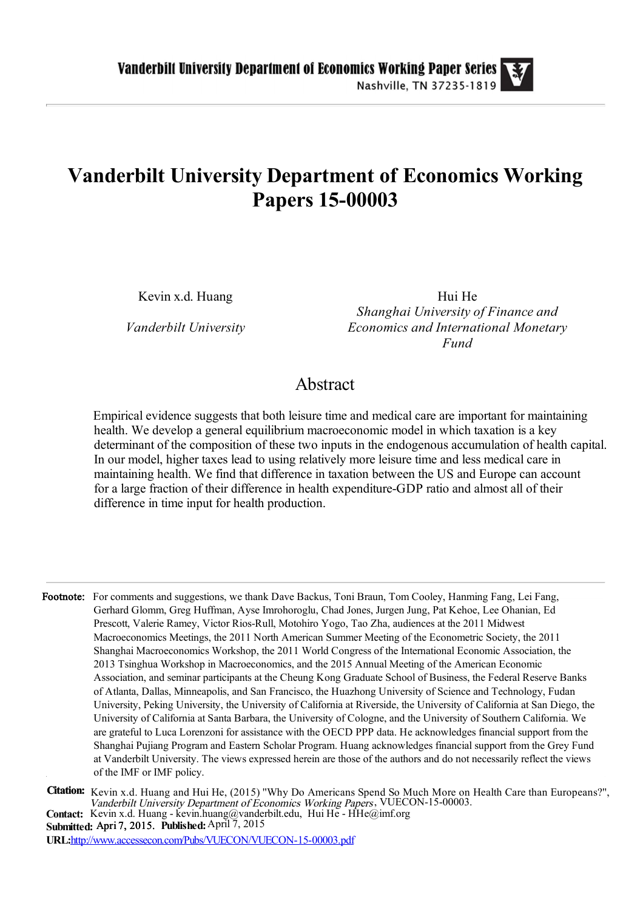# Vanderbilt University Department of Economics Working Papers 15-00003

Kevin x.d. Huang

Vanderbilt University

Hui He Shanghai University of Finance and Economics and International Monetary Fund

## Abstract

Empirical evidence suggests that both leisure time and medical care are important for maintaining health. We develop a general equilibrium macroeconomic model in which taxation is a key determinant of the composition of these two inputs in the endogenous accumulation of health capital. In our model, higher taxes lead to using relatively more leisure time and less medical care in maintaining health. We find that difference in taxation between the US and Europe can account for a large fraction of their difference in health expenditure-GDP ratio and almost all of their difference in time input for health production.

Footnote: For comments and suggestions, we thank Dave Backus, Toni Braun, Tom Cooley, Hanming Fang, Lei Fang, Gerhard Glomm, Greg Huffman, Ayse Imrohoroglu, Chad Jones, Jurgen Jung, Pat Kehoe, Lee Ohanian, Ed Prescott, Valerie Ramey, Victor Rios-Rull, Motohiro Yogo, Tao Zha, audiences at the 2011 Midwest Macroeconomics Meetings, the 2011 North American Summer Meeting of the Econometric Society, the 2011 Shanghai Macroeconomics Workshop, the 2011 World Congress of the International Economic Association, the 2013 Tsinghua Workshop in Macroeconomics, and the 2015 Annual Meeting of the American Economic Association, and seminar participants at the Cheung Kong Graduate School of Business, the Federal Reserve Banks of Atlanta, Dallas, Minneapolis, and San Francisco, the Huazhong University of Science and Technology, Fudan University, Peking University, the University of California at Riverside, the University of California at San Diego, the University of California at Santa Barbara, the University of Cologne, and the University of Southern California. We are grateful to Luca Lorenzoni for assistance with the OECD PPP data. He acknowledges financial support from the Shanghai Pujiang Program and Eastern Scholar Program. Huang acknowledges financial support from the Grey Fund at Vanderbilt University. The views expressed herein are those of the authors and do not necessarily reflect the views of the IMF or IMF policy.

Citation: Kevin x.d. Huang and Hui He, (2015) "Why Do Americans Spend So Much More on Health Care than Europeans?", Vanderbilt University Department of Economics Working Papers, VUECON-15-00003. Contact: Kevin x.d. Huang - kevin.huang@vanderbilt.edu, Hui He - HHe@imf.org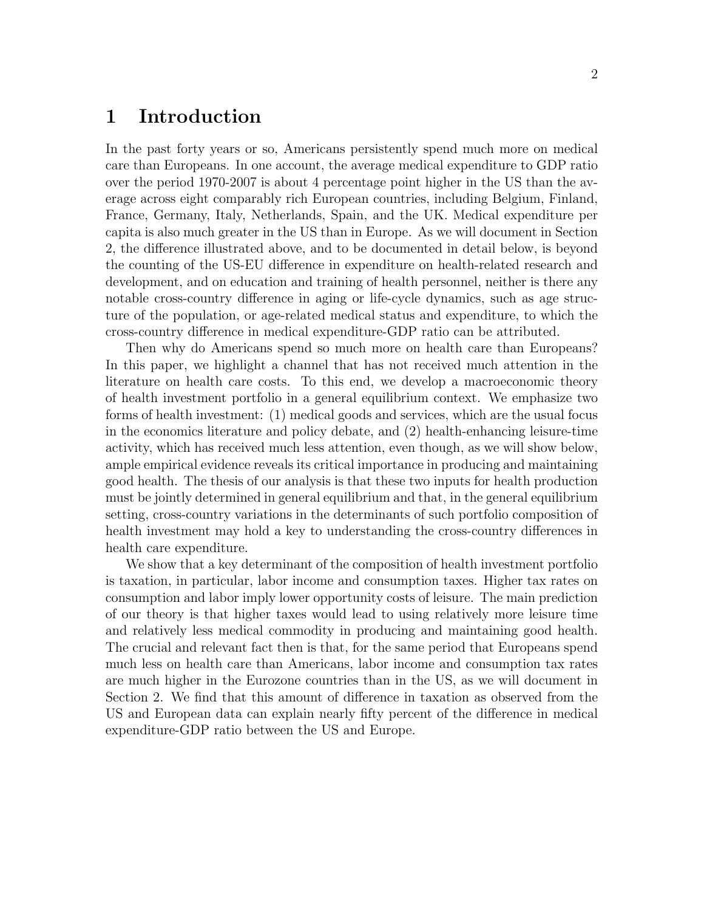### 1 Introduction

In the past forty years or so, Americans persistently spend much more on medical care than Europeans. In one account, the average medical expenditure to GDP ratio over the period 1970-2007 is about 4 percentage point higher in the US than the average across eight comparably rich European countries, including Belgium, Finland, France, Germany, Italy, Netherlands, Spain, and the UK. Medical expenditure per capita is also much greater in the US than in Europe. As we will document in Section 2, the difference illustrated above, and to be documented in detail below, is beyond the counting of the US-EU difference in expenditure on health-related research and development, and on education and training of health personnel, neither is there any notable cross-country difference in aging or life-cycle dynamics, such as age structure of the population, or age-related medical status and expenditure, to which the cross-country difference in medical expenditure-GDP ratio can be attributed.

Then why do Americans spend so much more on health care than Europeans? In this paper, we highlight a channel that has not received much attention in the literature on health care costs. To this end, we develop a macroeconomic theory of health investment portfolio in a general equilibrium context. We emphasize two forms of health investment: (1) medical goods and services, which are the usual focus in the economics literature and policy debate, and (2) health-enhancing leisure-time activity, which has received much less attention, even though, as we will show below, ample empirical evidence reveals its critical importance in producing and maintaining good health. The thesis of our analysis is that these two inputs for health production must be jointly determined in general equilibrium and that, in the general equilibrium setting, cross-country variations in the determinants of such portfolio composition of health investment may hold a key to understanding the cross-country differences in health care expenditure.

We show that a key determinant of the composition of health investment portfolio is taxation, in particular, labor income and consumption taxes. Higher tax rates on consumption and labor imply lower opportunity costs of leisure. The main prediction of our theory is that higher taxes would lead to using relatively more leisure time and relatively less medical commodity in producing and maintaining good health. The crucial and relevant fact then is that, for the same period that Europeans spend much less on health care than Americans, labor income and consumption tax rates are much higher in the Eurozone countries than in the US, as we will document in Section 2. We find that this amount of difference in taxation as observed from the US and European data can explain nearly fifty percent of the difference in medical expenditure-GDP ratio between the US and Europe.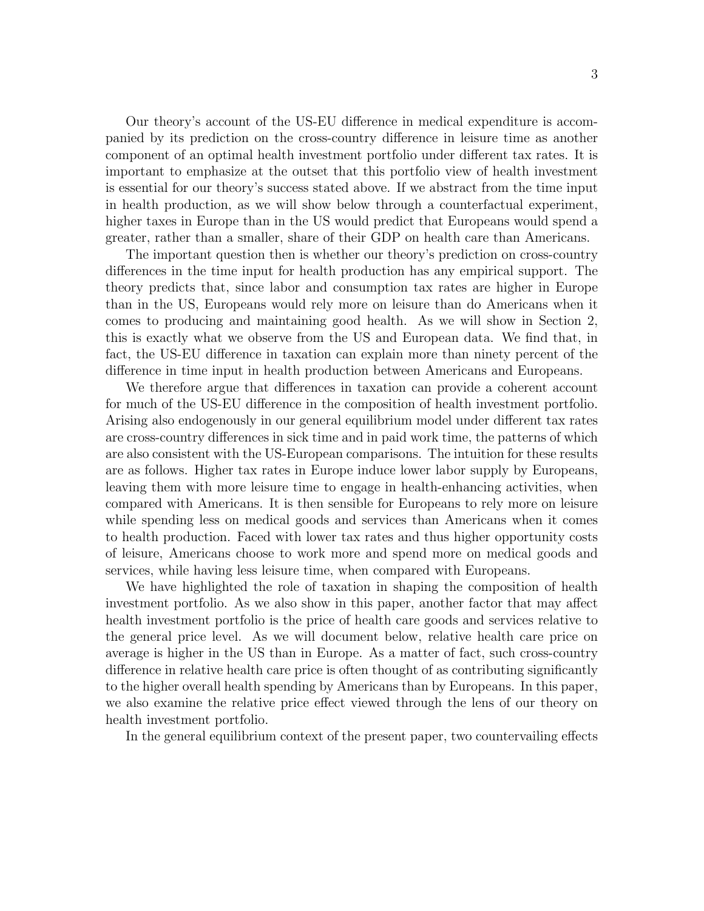Our theory's account of the US-EU difference in medical expenditure is accompanied by its prediction on the cross-country difference in leisure time as another component of an optimal health investment portfolio under different tax rates. It is important to emphasize at the outset that this portfolio view of health investment is essential for our theory's success stated above. If we abstract from the time input in health production, as we will show below through a counterfactual experiment, higher taxes in Europe than in the US would predict that Europeans would spend a greater, rather than a smaller, share of their GDP on health care than Americans.

The important question then is whether our theory's prediction on cross-country differences in the time input for health production has any empirical support. The theory predicts that, since labor and consumption tax rates are higher in Europe than in the US, Europeans would rely more on leisure than do Americans when it comes to producing and maintaining good health. As we will show in Section 2, this is exactly what we observe from the US and European data. We find that, in fact, the US-EU difference in taxation can explain more than ninety percent of the difference in time input in health production between Americans and Europeans.

We therefore argue that differences in taxation can provide a coherent account for much of the US-EU difference in the composition of health investment portfolio. Arising also endogenously in our general equilibrium model under different tax rates are cross-country differences in sick time and in paid work time, the patterns of which are also consistent with the US-European comparisons. The intuition for these results are as follows. Higher tax rates in Europe induce lower labor supply by Europeans, leaving them with more leisure time to engage in health-enhancing activities, when compared with Americans. It is then sensible for Europeans to rely more on leisure while spending less on medical goods and services than Americans when it comes to health production. Faced with lower tax rates and thus higher opportunity costs of leisure, Americans choose to work more and spend more on medical goods and services, while having less leisure time, when compared with Europeans.

We have highlighted the role of taxation in shaping the composition of health investment portfolio. As we also show in this paper, another factor that may affect health investment portfolio is the price of health care goods and services relative to the general price level. As we will document below, relative health care price on average is higher in the US than in Europe. As a matter of fact, such cross-country difference in relative health care price is often thought of as contributing significantly to the higher overall health spending by Americans than by Europeans. In this paper, we also examine the relative price effect viewed through the lens of our theory on health investment portfolio.

In the general equilibrium context of the present paper, two countervailing effects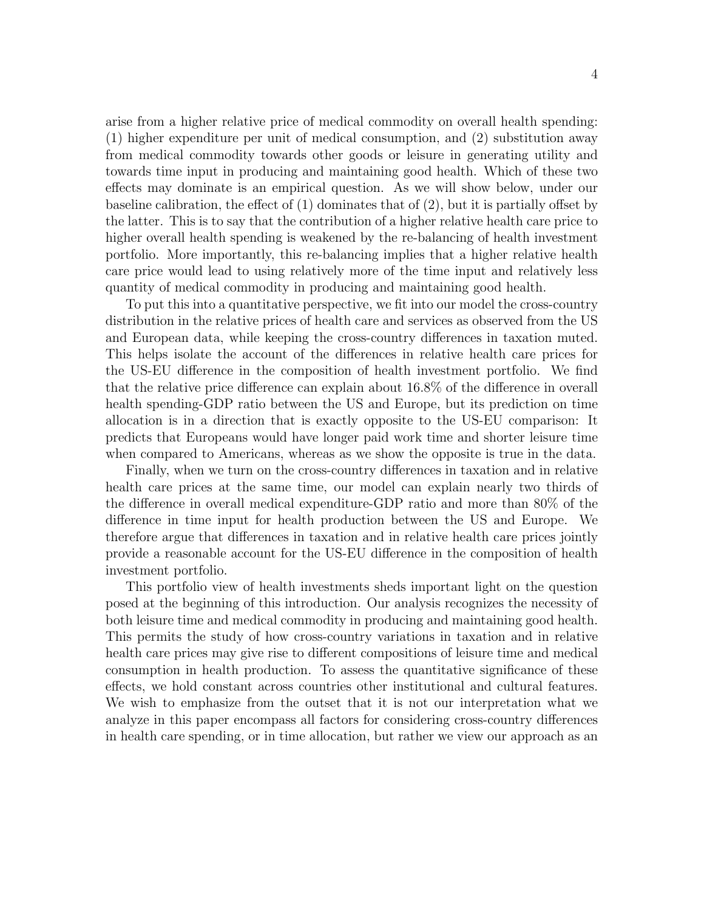arise from a higher relative price of medical commodity on overall health spending: (1) higher expenditure per unit of medical consumption, and (2) substitution away from medical commodity towards other goods or leisure in generating utility and towards time input in producing and maintaining good health. Which of these two effects may dominate is an empirical question. As we will show below, under our baseline calibration, the effect of  $(1)$  dominates that of  $(2)$ , but it is partially offset by the latter. This is to say that the contribution of a higher relative health care price to higher overall health spending is weakened by the re-balancing of health investment portfolio. More importantly, this re-balancing implies that a higher relative health care price would lead to using relatively more of the time input and relatively less quantity of medical commodity in producing and maintaining good health.

To put this into a quantitative perspective, we fit into our model the cross-country distribution in the relative prices of health care and services as observed from the US and European data, while keeping the cross-country differences in taxation muted. This helps isolate the account of the differences in relative health care prices for the US-EU difference in the composition of health investment portfolio. We find that the relative price difference can explain about 16.8% of the difference in overall health spending-GDP ratio between the US and Europe, but its prediction on time allocation is in a direction that is exactly opposite to the US-EU comparison: It predicts that Europeans would have longer paid work time and shorter leisure time when compared to Americans, whereas as we show the opposite is true in the data.

Finally, when we turn on the cross-country differences in taxation and in relative health care prices at the same time, our model can explain nearly two thirds of the difference in overall medical expenditure-GDP ratio and more than 80% of the difference in time input for health production between the US and Europe. We therefore argue that differences in taxation and in relative health care prices jointly provide a reasonable account for the US-EU difference in the composition of health investment portfolio.

This portfolio view of health investments sheds important light on the question posed at the beginning of this introduction. Our analysis recognizes the necessity of both leisure time and medical commodity in producing and maintaining good health. This permits the study of how cross-country variations in taxation and in relative health care prices may give rise to different compositions of leisure time and medical consumption in health production. To assess the quantitative significance of these effects, we hold constant across countries other institutional and cultural features. We wish to emphasize from the outset that it is not our interpretation what we analyze in this paper encompass all factors for considering cross-country differences in health care spending, or in time allocation, but rather we view our approach as an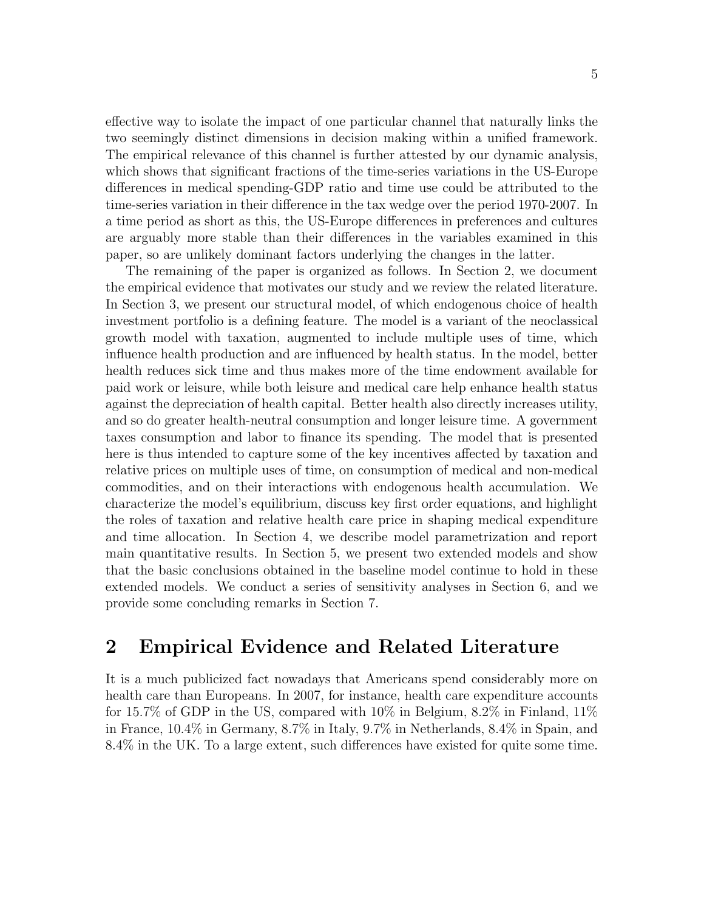effective way to isolate the impact of one particular channel that naturally links the two seemingly distinct dimensions in decision making within a unified framework. The empirical relevance of this channel is further attested by our dynamic analysis, which shows that significant fractions of the time-series variations in the US-Europe differences in medical spending-GDP ratio and time use could be attributed to the time-series variation in their difference in the tax wedge over the period 1970-2007. In a time period as short as this, the US-Europe differences in preferences and cultures are arguably more stable than their differences in the variables examined in this paper, so are unlikely dominant factors underlying the changes in the latter.

The remaining of the paper is organized as follows. In Section 2, we document the empirical evidence that motivates our study and we review the related literature. In Section 3, we present our structural model, of which endogenous choice of health investment portfolio is a defining feature. The model is a variant of the neoclassical growth model with taxation, augmented to include multiple uses of time, which influence health production and are influenced by health status. In the model, better health reduces sick time and thus makes more of the time endowment available for paid work or leisure, while both leisure and medical care help enhance health status against the depreciation of health capital. Better health also directly increases utility, and so do greater health-neutral consumption and longer leisure time. A government taxes consumption and labor to finance its spending. The model that is presented here is thus intended to capture some of the key incentives affected by taxation and relative prices on multiple uses of time, on consumption of medical and non-medical commodities, and on their interactions with endogenous health accumulation. We characterize the model's equilibrium, discuss key first order equations, and highlight the roles of taxation and relative health care price in shaping medical expenditure and time allocation. In Section 4, we describe model parametrization and report main quantitative results. In Section 5, we present two extended models and show that the basic conclusions obtained in the baseline model continue to hold in these extended models. We conduct a series of sensitivity analyses in Section 6, and we provide some concluding remarks in Section 7.

## 2 Empirical Evidence and Related Literature

It is a much publicized fact nowadays that Americans spend considerably more on health care than Europeans. In 2007, for instance, health care expenditure accounts for 15.7% of GDP in the US, compared with 10% in Belgium, 8.2% in Finland, 11% in France, 10.4% in Germany, 8.7% in Italy, 9.7% in Netherlands, 8.4% in Spain, and 8.4% in the UK. To a large extent, such differences have existed for quite some time.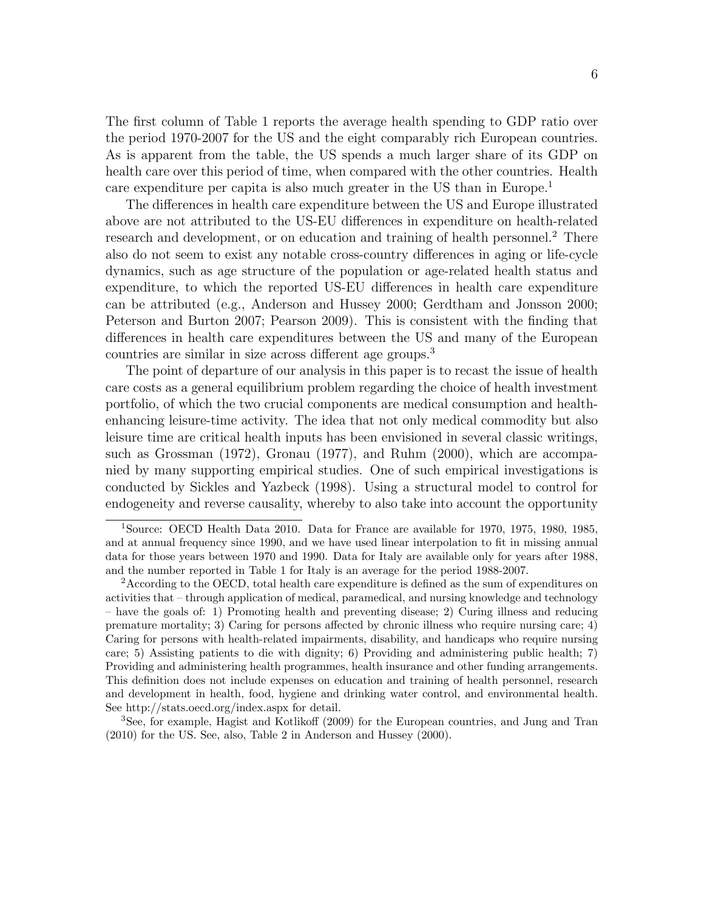The first column of Table 1 reports the average health spending to GDP ratio over the period 1970-2007 for the US and the eight comparably rich European countries. As is apparent from the table, the US spends a much larger share of its GDP on health care over this period of time, when compared with the other countries. Health care expenditure per capita is also much greater in the US than in Europe. 1

The differences in health care expenditure between the US and Europe illustrated above are not attributed to the US-EU differences in expenditure on health-related research and development, or on education and training of health personnel.<sup>2</sup> There also do not seem to exist any notable cross-country differences in aging or life-cycle dynamics, such as age structure of the population or age-related health status and expenditure, to which the reported US-EU differences in health care expenditure can be attributed (e.g., Anderson and Hussey 2000; Gerdtham and Jonsson 2000; Peterson and Burton 2007; Pearson 2009). This is consistent with the finding that differences in health care expenditures between the US and many of the European countries are similar in size across different age groups. 3

The point of departure of our analysis in this paper is to recast the issue of health care costs as a general equilibrium problem regarding the choice of health investment portfolio, of which the two crucial components are medical consumption and healthenhancing leisure-time activity. The idea that not only medical commodity but also leisure time are critical health inputs has been envisioned in several classic writings, such as Grossman (1972), Gronau (1977), and Ruhm (2000), which are accompanied by many supporting empirical studies. One of such empirical investigations is conducted by Sickles and Yazbeck (1998). Using a structural model to control for endogeneity and reverse causality, whereby to also take into account the opportunity

<sup>3</sup>See, for example, Hagist and Kotlikoff (2009) for the European countries, and Jung and Tran (2010) for the US. See, also, Table 2 in Anderson and Hussey (2000).

<sup>1</sup>Source: OECD Health Data 2010. Data for France are available for 1970, 1975, 1980, 1985, and at annual frequency since 1990, and we have used linear interpolation to fit in missing annual data for those years between 1970 and 1990. Data for Italy are available only for years after 1988, and the number reported in Table 1 for Italy is an average for the period 1988-2007.

<sup>&</sup>lt;sup>2</sup> According to the OECD, total health care expenditure is defined as the sum of expenditures on activities that – through application of medical, paramedical, and nursing knowledge and technology – have the goals of: 1) Promoting health and preventing disease; 2) Curing illness and reducing premature mortality; 3) Caring for persons affected by chronic illness who require nursing care; 4) Caring for persons with health-related impairments, disability, and handicaps who require nursing care; 5) Assisting patients to die with dignity; 6) Providing and administering public health; 7) Providing and administering health programmes, health insurance and other funding arrangements. This definition does not include expenses on education and training of health personnel, research and development in health, food, hygiene and drinking water control, and environmental health. See http://stats.oecd.org/index.aspx for detail.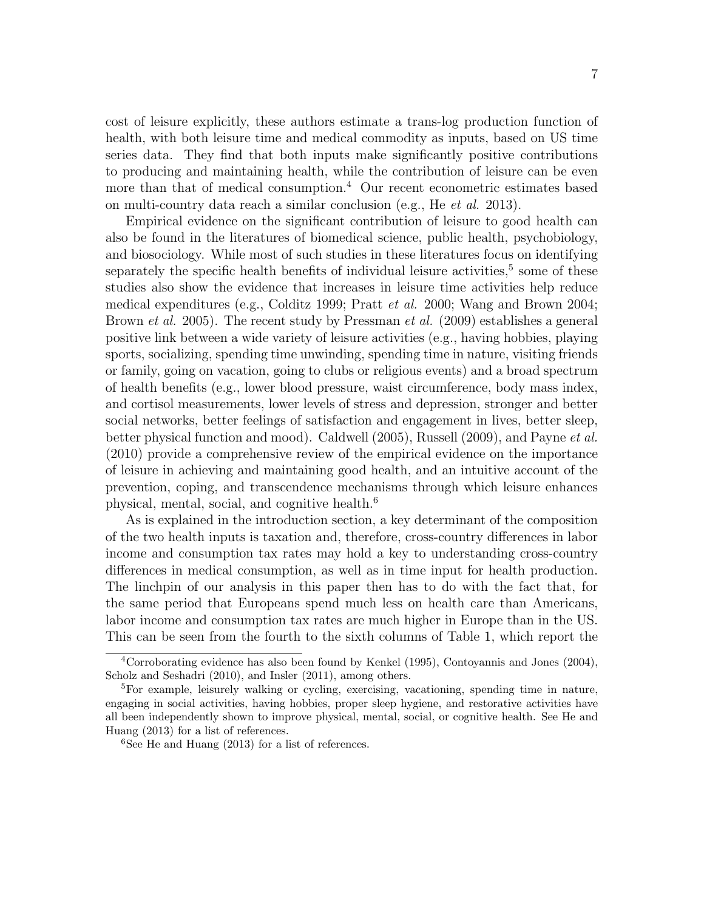cost of leisure explicitly, these authors estimate a trans-log production function of health, with both leisure time and medical commodity as inputs, based on US time series data. They find that both inputs make significantly positive contributions to producing and maintaining health, while the contribution of leisure can be even more than that of medical consumption. <sup>4</sup> Our recent econometric estimates based on multi-country data reach a similar conclusion (e.g., He et al. 2013).

Empirical evidence on the significant contribution of leisure to good health can also be found in the literatures of biomedical science, public health, psychobiology, and biosociology. While most of such studies in these literatures focus on identifying separately the specific health benefits of individual leisure activities,<sup>5</sup> some of these studies also show the evidence that increases in leisure time activities help reduce medical expenditures (e.g., Colditz 1999; Pratt et al. 2000; Wang and Brown 2004; Brown *et al.* 2005). The recent study by Pressman *et al.* (2009) establishes a general positive link between a wide variety of leisure activities (e.g., having hobbies, playing sports, socializing, spending time unwinding, spending time in nature, visiting friends or family, going on vacation, going to clubs or religious events) and a broad spectrum of health benefits (e.g., lower blood pressure, waist circumference, body mass index, and cortisol measurements, lower levels of stress and depression, stronger and better social networks, better feelings of satisfaction and engagement in lives, better sleep, better physical function and mood). Caldwell (2005), Russell (2009), and Payne et al. (2010) provide a comprehensive review of the empirical evidence on the importance of leisure in achieving and maintaining good health, and an intuitive account of the prevention, coping, and transcendence mechanisms through which leisure enhances physical, mental, social, and cognitive health. 6

As is explained in the introduction section, a key determinant of the composition of the two health inputs is taxation and, therefore, cross-country differences in labor income and consumption tax rates may hold a key to understanding cross-country differences in medical consumption, as well as in time input for health production. The linchpin of our analysis in this paper then has to do with the fact that, for the same period that Europeans spend much less on health care than Americans, labor income and consumption tax rates are much higher in Europe than in the US. This can be seen from the fourth to the sixth columns of Table 1, which report the

<sup>4</sup>Corroborating evidence has also been found by Kenkel (1995), Contoyannis and Jones (2004), Scholz and Seshadri (2010), and Insler (2011), among others.

<sup>5</sup>For example, leisurely walking or cycling, exercising, vacationing, spending time in nature, engaging in social activities, having hobbies, proper sleep hygiene, and restorative activities have all been independently shown to improve physical, mental, social, or cognitive health. See He and Huang (2013) for a list of references.

 ${}^{6}$ See He and Huang (2013) for a list of references.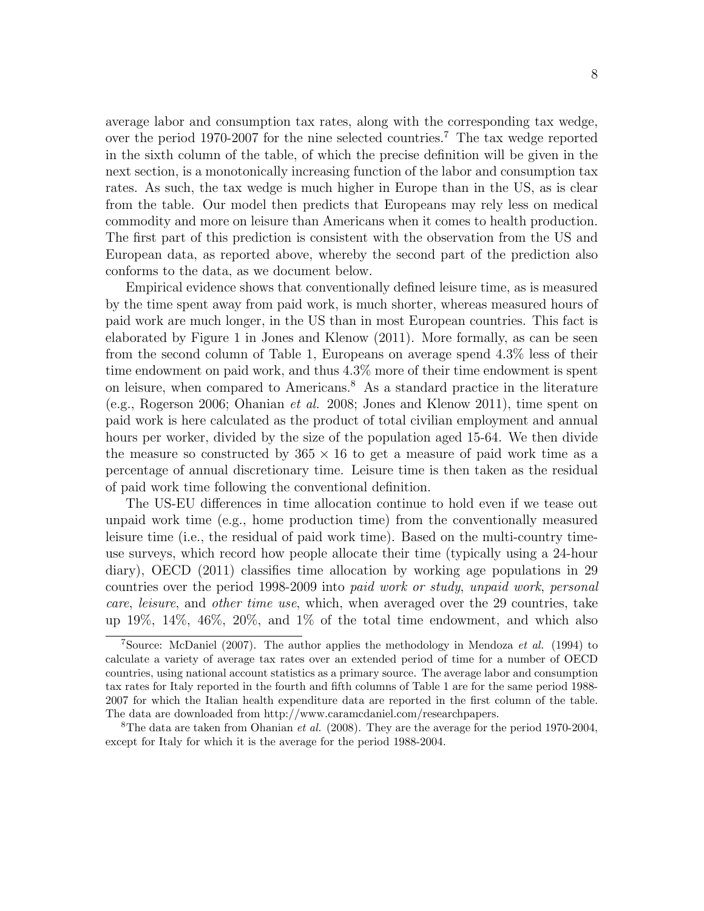average labor and consumption tax rates, along with the corresponding tax wedge, over the period 1970-2007 for the nine selected countries. <sup>7</sup> The tax wedge reported in the sixth column of the table, of which the precise definition will be given in the next section, is a monotonically increasing function of the labor and consumption tax rates. As such, the tax wedge is much higher in Europe than in the US, as is clear from the table. Our model then predicts that Europeans may rely less on medical commodity and more on leisure than Americans when it comes to health production. The first part of this prediction is consistent with the observation from the US and European data, as reported above, whereby the second part of the prediction also conforms to the data, as we document below.

Empirical evidence shows that conventionally defined leisure time, as is measured by the time spent away from paid work, is much shorter, whereas measured hours of paid work are much longer, in the US than in most European countries. This fact is elaborated by Figure 1 in Jones and Klenow (2011). More formally, as can be seen from the second column of Table 1, Europeans on average spend 4.3% less of their time endowment on paid work, and thus 4.3% more of their time endowment is spent on leisure, when compared to Americans. <sup>8</sup> As a standard practice in the literature (e.g., Rogerson 2006; Ohanian et al. 2008; Jones and Klenow 2011), time spent on paid work is here calculated as the product of total civilian employment and annual hours per worker, divided by the size of the population aged 15-64. We then divide the measure so constructed by  $365 \times 16$  to get a measure of paid work time as a percentage of annual discretionary time. Leisure time is then taken as the residual of paid work time following the conventional definition.

The US-EU differences in time allocation continue to hold even if we tease out unpaid work time (e.g., home production time) from the conventionally measured leisure time (i.e., the residual of paid work time). Based on the multi-country timeuse surveys, which record how people allocate their time (typically using a 24-hour diary), OECD (2011) classifies time allocation by working age populations in 29 countries over the period 1998-2009 into paid work or study, unpaid work, personal care, leisure, and other time use, which, when averaged over the 29 countries, take up 19%, 14%, 46%, 20%, and 1% of the total time endowment, and which also

<sup>&</sup>lt;sup>7</sup>Source: McDaniel (2007). The author applies the methodology in Mendoza *et al.* (1994) to calculate a variety of average tax rates over an extended period of time for a number of OECD countries, using national account statistics as a primary source. The average labor and consumption tax rates for Italy reported in the fourth and fifth columns of Table 1 are for the same period 1988- 2007 for which the Italian health expenditure data are reported in the first column of the table. The data are downloaded from http://www.caramcdaniel.com/researchpapers.

<sup>&</sup>lt;sup>8</sup>The data are taken from Ohanian *et al.* (2008). They are the average for the period 1970-2004, except for Italy for which it is the average for the period 1988-2004.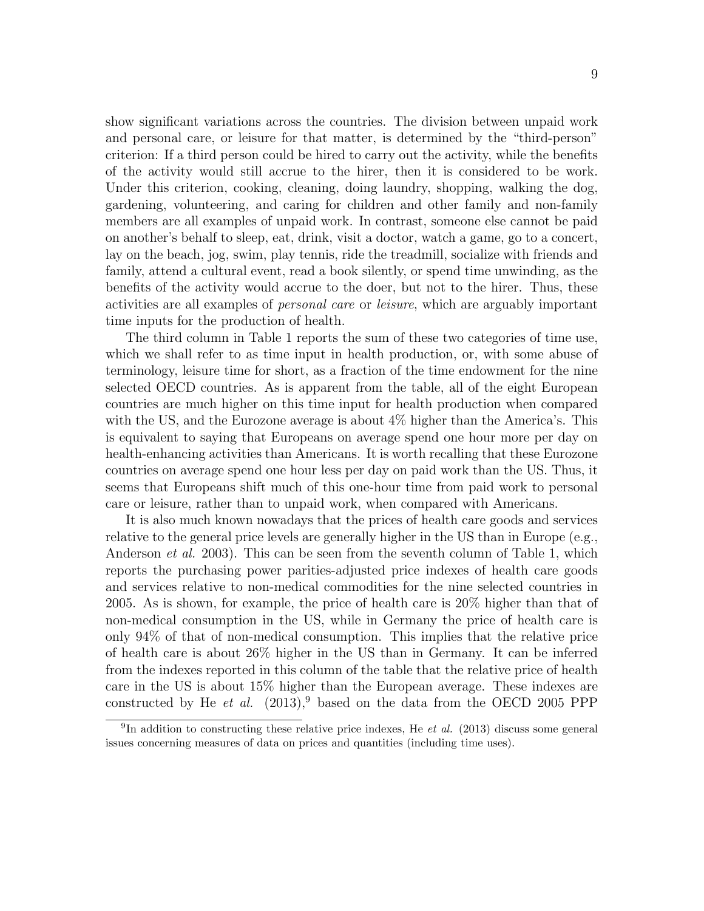show significant variations across the countries. The division between unpaid work and personal care, or leisure for that matter, is determined by the "third-person" criterion: If a third person could be hired to carry out the activity, while the benefits of the activity would still accrue to the hirer, then it is considered to be work. Under this criterion, cooking, cleaning, doing laundry, shopping, walking the dog, gardening, volunteering, and caring for children and other family and non-family members are all examples of unpaid work. In contrast, someone else cannot be paid on another's behalf to sleep, eat, drink, visit a doctor, watch a game, go to a concert, lay on the beach, jog, swim, play tennis, ride the treadmill, socialize with friends and family, attend a cultural event, read a book silently, or spend time unwinding, as the benefits of the activity would accrue to the doer, but not to the hirer. Thus, these activities are all examples of personal care or leisure, which are arguably important time inputs for the production of health.

The third column in Table 1 reports the sum of these two categories of time use, which we shall refer to as time input in health production, or, with some abuse of terminology, leisure time for short, as a fraction of the time endowment for the nine selected OECD countries. As is apparent from the table, all of the eight European countries are much higher on this time input for health production when compared with the US, and the Eurozone average is about 4% higher than the America's. This is equivalent to saying that Europeans on average spend one hour more per day on health-enhancing activities than Americans. It is worth recalling that these Eurozone countries on average spend one hour less per day on paid work than the US. Thus, it seems that Europeans shift much of this one-hour time from paid work to personal care or leisure, rather than to unpaid work, when compared with Americans.

It is also much known nowadays that the prices of health care goods and services relative to the general price levels are generally higher in the US than in Europe (e.g., Anderson et al. 2003). This can be seen from the seventh column of Table 1, which reports the purchasing power parities-adjusted price indexes of health care goods and services relative to non-medical commodities for the nine selected countries in 2005. As is shown, for example, the price of health care is 20% higher than that of non-medical consumption in the US, while in Germany the price of health care is only 94% of that of non-medical consumption. This implies that the relative price of health care is about 26% higher in the US than in Germany. It can be inferred from the indexes reported in this column of the table that the relative price of health care in the US is about 15% higher than the European average. These indexes are constructed by He et al.  $(2013)^9$  based on the data from the OECD 2005 PPP

<sup>&</sup>lt;sup>9</sup>In addition to constructing these relative price indexes, He *et al.* (2013) discuss some general issues concerning measures of data on prices and quantities (including time uses).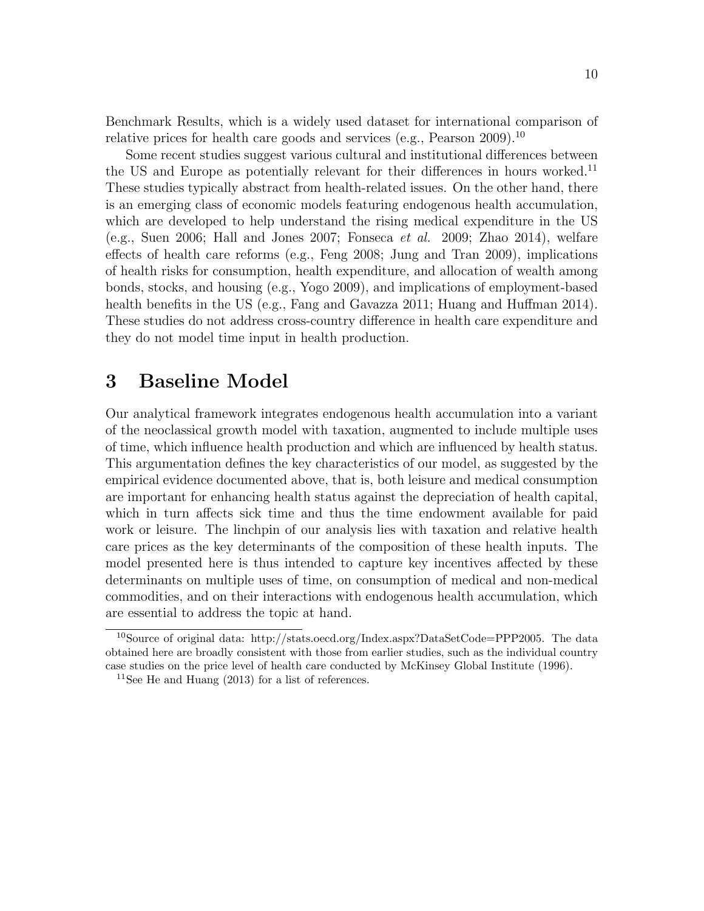Benchmark Results, which is a widely used dataset for international comparison of relative prices for health care goods and services (e.g., Pearson 2009).<sup>10</sup>

Some recent studies suggest various cultural and institutional differences between the US and Europe as potentially relevant for their differences in hours worked.<sup>11</sup> These studies typically abstract from health-related issues. On the other hand, there is an emerging class of economic models featuring endogenous health accumulation, which are developed to help understand the rising medical expenditure in the US (e.g., Suen 2006; Hall and Jones 2007; Fonseca *et al.* 2009; Zhao 2014), welfare effects of health care reforms (e.g., Feng 2008; Jung and Tran 2009), implications of health risks for consumption, health expenditure, and allocation of wealth among bonds, stocks, and housing (e.g., Yogo 2009), and implications of employment-based health benefits in the US (e.g., Fang and Gavazza 2011; Huang and Huffman 2014). These studies do not address cross-country difference in health care expenditure and they do not model time input in health production.

### 3 Baseline Model

Our analytical framework integrates endogenous health accumulation into a variant of the neoclassical growth model with taxation, augmented to include multiple uses of time, which influence health production and which are influenced by health status. This argumentation defines the key characteristics of our model, as suggested by the empirical evidence documented above, that is, both leisure and medical consumption are important for enhancing health status against the depreciation of health capital, which in turn affects sick time and thus the time endowment available for paid work or leisure. The linchpin of our analysis lies with taxation and relative health care prices as the key determinants of the composition of these health inputs. The model presented here is thus intended to capture key incentives affected by these determinants on multiple uses of time, on consumption of medical and non-medical commodities, and on their interactions with endogenous health accumulation, which are essential to address the topic at hand.

<sup>10</sup>Source of original data: http://stats.oecd.org/Index.aspx?DataSetCode=PPP2005. The data obtained here are broadly consistent with those from earlier studies, such as the individual country case studies on the price level of health care conducted by McKinsey Global Institute (1996).

<sup>&</sup>lt;sup>11</sup>See He and Huang  $(2013)$  for a list of references.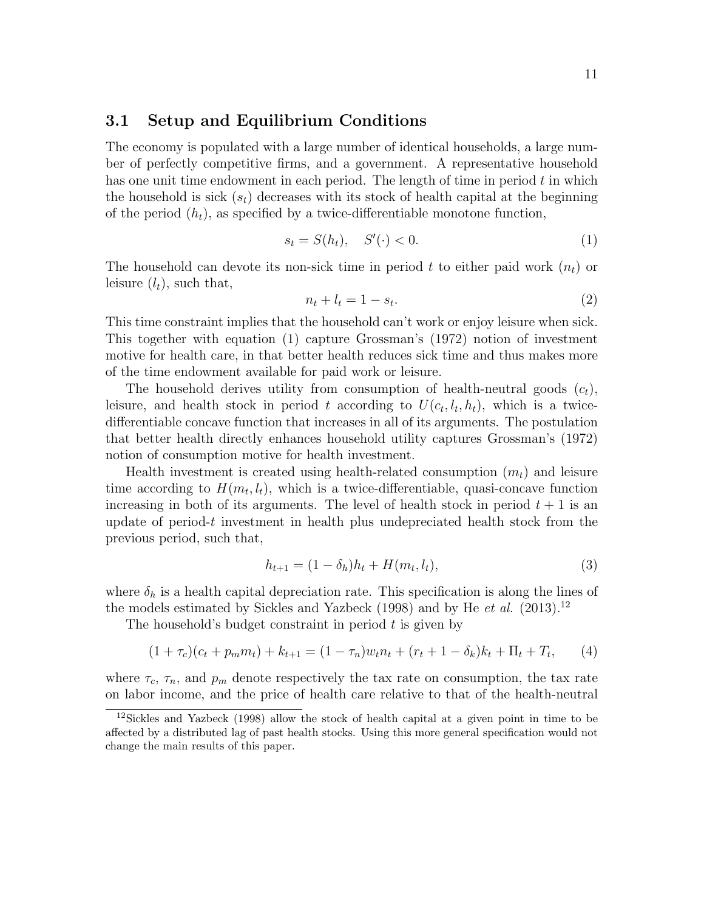#### 3.1 Setup and Equilibrium Conditions

The economy is populated with a large number of identical households, a large number of perfectly competitive firms, and a government. A representative household has one unit time endowment in each period. The length of time in period  $t$  in which the household is sick  $(s_t)$  decreases with its stock of health capital at the beginning of the period  $(h_t)$ , as specified by a twice-differentiable monotone function,

$$
s_t = S(h_t), \quad S'(\cdot) < 0. \tag{1}
$$

The household can devote its non-sick time in period t to either paid work  $(n_t)$  or leisure  $(l_t)$ , such that,

$$
n_t + l_t = 1 - s_t. \tag{2}
$$

This time constraint implies that the household can't work or enjoy leisure when sick. This together with equation (1) capture Grossman's (1972) notion of investment motive for health care, in that better health reduces sick time and thus makes more of the time endowment available for paid work or leisure.

The household derives utility from consumption of health-neutral goods  $(c_t)$ , leisure, and health stock in period t according to  $U(c_t, l_t, h_t)$ , which is a twicedifferentiable concave function that increases in all of its arguments. The postulation that better health directly enhances household utility captures Grossman's (1972) notion of consumption motive for health investment.

Health investment is created using health-related consumption  $(m_t)$  and leisure time according to  $H(m_t, l_t)$ , which is a twice-differentiable, quasi-concave function increasing in both of its arguments. The level of health stock in period  $t + 1$  is an update of period-t investment in health plus undepreciated health stock from the previous period, such that,

$$
h_{t+1} = (1 - \delta_h)h_t + H(m_t, l_t),
$$
\n(3)

where  $\delta_h$  is a health capital depreciation rate. This specification is along the lines of the models estimated by Sickles and Yazbeck  $(1998)$  and by He et al.  $(2013).<sup>12</sup>$ 

The household's budget constraint in period  $t$  is given by

$$
(1 + \tau_c)(c_t + p_m m_t) + k_{t+1} = (1 - \tau_n)w_t n_t + (r_t + 1 - \delta_k)k_t + \Pi_t + T_t, \qquad (4)
$$

where  $\tau_c$ ,  $\tau_n$ , and  $p_m$  denote respectively the tax rate on consumption, the tax rate on labor income, and the price of health care relative to that of the health-neutral

<sup>12</sup>Sickles and Yazbeck (1998) allow the stock of health capital at a given point in time to be affected by a distributed lag of past health stocks. Using this more general specification would not change the main results of this paper.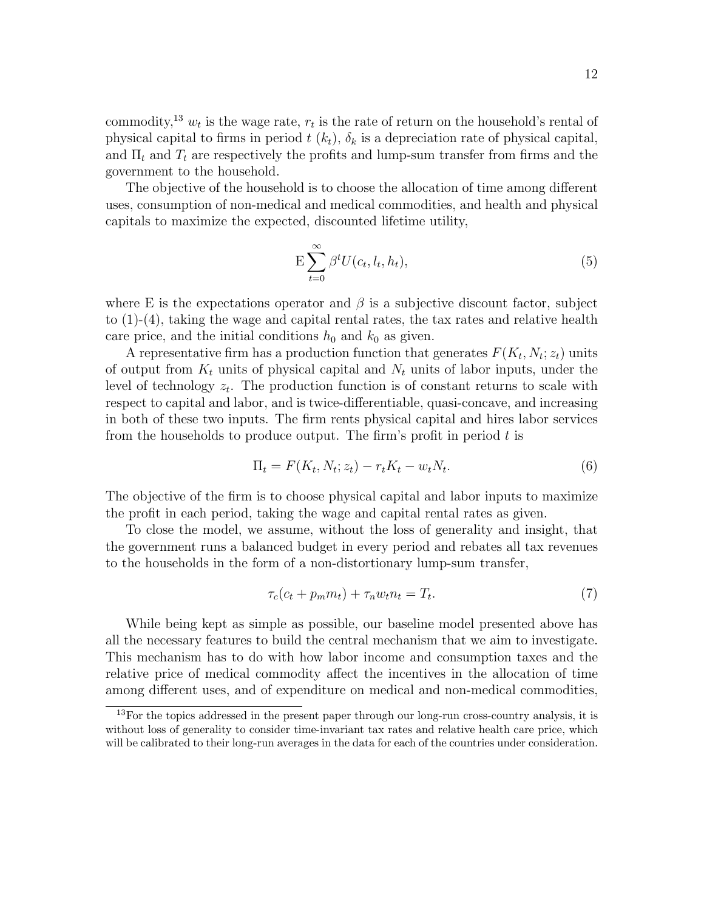commodity,<sup>13</sup>  $w_t$  is the wage rate,  $r_t$  is the rate of return on the household's rental of physical capital to firms in period  $t(k_t)$ ,  $\delta_k$  is a depreciation rate of physical capital, and  $\Pi_t$  and  $T_t$  are respectively the profits and lump-sum transfer from firms and the government to the household.

The objective of the household is to choose the allocation of time among different uses, consumption of non-medical and medical commodities, and health and physical capitals to maximize the expected, discounted lifetime utility,

$$
E\sum_{t=0}^{\infty} \beta^t U(c_t, l_t, h_t),\tag{5}
$$

where E is the expectations operator and  $\beta$  is a subjective discount factor, subject to  $(1)-(4)$ , taking the wage and capital rental rates, the tax rates and relative health care price, and the initial conditions  $h_0$  and  $k_0$  as given.

A representative firm has a production function that generates  $F(K_t, N_t; z_t)$  units of output from  $K_t$  units of physical capital and  $N_t$  units of labor inputs, under the level of technology  $z_t$ . The production function is of constant returns to scale with respect to capital and labor, and is twice-differentiable, quasi-concave, and increasing in both of these two inputs. The firm rents physical capital and hires labor services from the households to produce output. The firm's profit in period  $t$  is

$$
\Pi_t = F(K_t, N_t; z_t) - r_t K_t - w_t N_t. \tag{6}
$$

The objective of the firm is to choose physical capital and labor inputs to maximize the profit in each period, taking the wage and capital rental rates as given.

To close the model, we assume, without the loss of generality and insight, that the government runs a balanced budget in every period and rebates all tax revenues to the households in the form of a non-distortionary lump-sum transfer,

$$
\tau_c(c_t + p_m m_t) + \tau_n w_t n_t = T_t. \tag{7}
$$

While being kept as simple as possible, our baseline model presented above has all the necessary features to build the central mechanism that we aim to investigate. This mechanism has to do with how labor income and consumption taxes and the relative price of medical commodity affect the incentives in the allocation of time among different uses, and of expenditure on medical and non-medical commodities,

 $13$ For the topics addressed in the present paper through our long-run cross-country analysis, it is without loss of generality to consider time-invariant tax rates and relative health care price, which will be calibrated to their long-run averages in the data for each of the countries under consideration.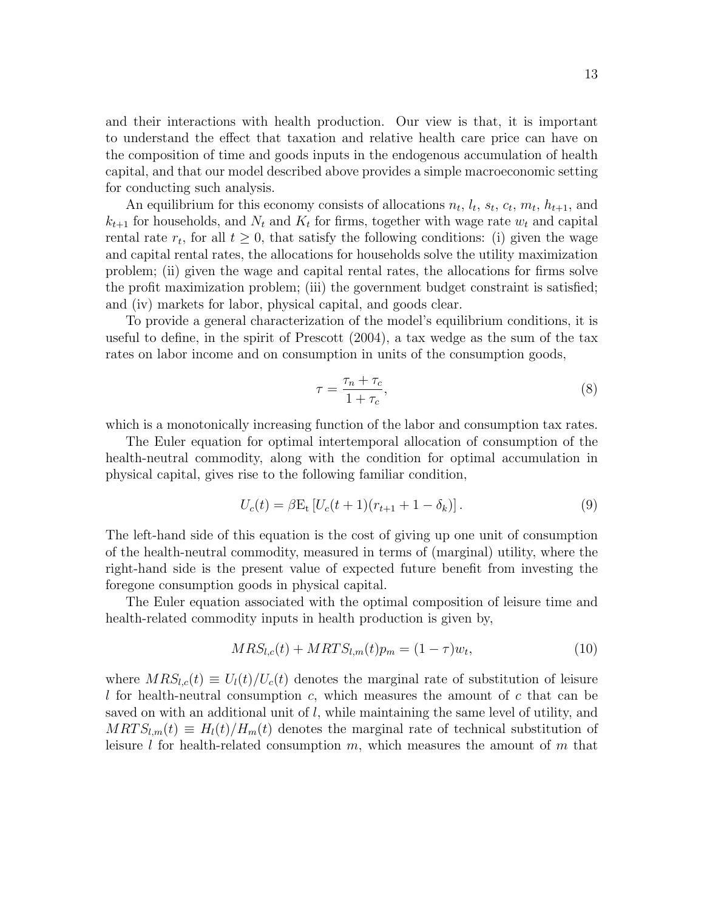and their interactions with health production. Our view is that, it is important to understand the effect that taxation and relative health care price can have on the composition of time and goods inputs in the endogenous accumulation of health capital, and that our model described above provides a simple macroeconomic setting for conducting such analysis.

An equilibrium for this economy consists of allocations  $n_t$ ,  $l_t$ ,  $s_t$ ,  $c_t$ ,  $m_t$ ,  $h_{t+1}$ , and  $k_{t+1}$  for households, and  $N_t$  and  $K_t$  for firms, together with wage rate  $w_t$  and capital rental rate  $r_t$ , for all  $t \geq 0$ , that satisfy the following conditions: (i) given the wage and capital rental rates, the allocations for households solve the utility maximization problem; (ii) given the wage and capital rental rates, the allocations for firms solve the profit maximization problem; (iii) the government budget constraint is satisfied; and (iv) markets for labor, physical capital, and goods clear.

To provide a general characterization of the model's equilibrium conditions, it is useful to define, in the spirit of Prescott (2004), a tax wedge as the sum of the tax rates on labor income and on consumption in units of the consumption goods,

$$
\tau = \frac{\tau_n + \tau_c}{1 + \tau_c},\tag{8}
$$

which is a monotonically increasing function of the labor and consumption tax rates.

The Euler equation for optimal intertemporal allocation of consumption of the health-neutral commodity, along with the condition for optimal accumulation in physical capital, gives rise to the following familiar condition,

$$
U_c(t) = \beta E_t \left[ U_c(t+1)(r_{t+1} + 1 - \delta_k) \right]. \tag{9}
$$

The left-hand side of this equation is the cost of giving up one unit of consumption of the health-neutral commodity, measured in terms of (marginal) utility, where the right-hand side is the present value of expected future benefit from investing the foregone consumption goods in physical capital.

The Euler equation associated with the optimal composition of leisure time and health-related commodity inputs in health production is given by,

$$
MRS_{l,c}(t) + MRTS_{l,m}(t)p_m = (1 - \tau)w_t,
$$
\n(10)

where  $MRS_{l,c}(t) \equiv U_l(t)/U_c(t)$  denotes the marginal rate of substitution of leisure I for health-neutral consumption  $c$ , which measures the amount of  $c$  that can be saved on with an additional unit of  $l$ , while maintaining the same level of utility, and  $MRTS_{l,m}(t) \equiv H_l(t)/H_m(t)$  denotes the marginal rate of technical substitution of leisure l for health-related consumption  $m$ , which measures the amount of  $m$  that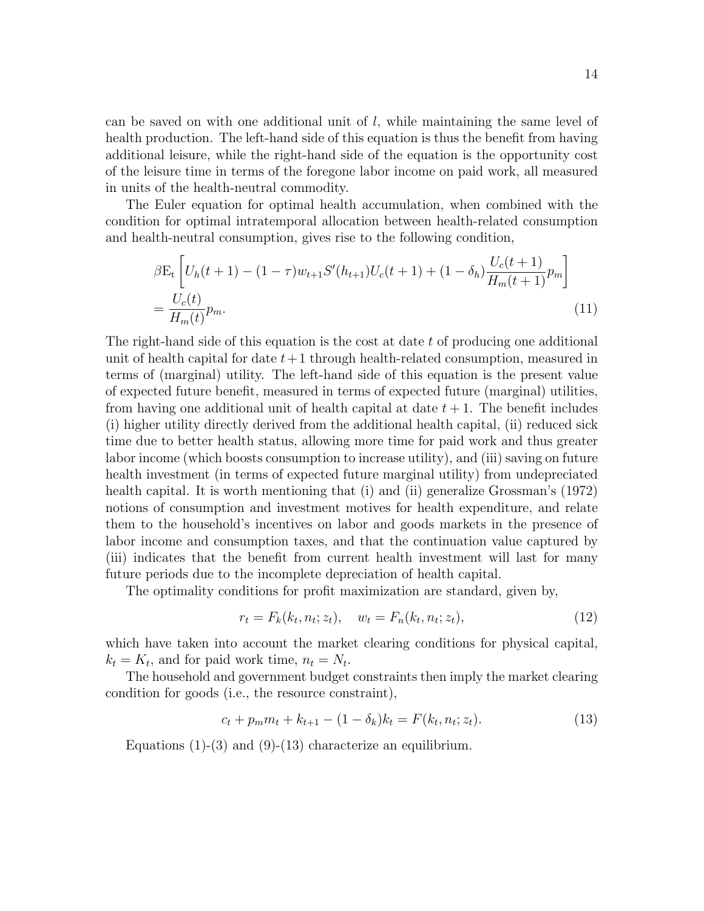can be saved on with one additional unit of  $l$ , while maintaining the same level of health production. The left-hand side of this equation is thus the benefit from having additional leisure, while the right-hand side of the equation is the opportunity cost of the leisure time in terms of the foregone labor income on paid work, all measured in units of the health-neutral commodity.

The Euler equation for optimal health accumulation, when combined with the condition for optimal intratemporal allocation between health-related consumption and health-neutral consumption, gives rise to the following condition,

$$
\beta E_t \left[ U_h(t+1) - (1-\tau) w_{t+1} S'(h_{t+1}) U_c(t+1) + (1-\delta_h) \frac{U_c(t+1)}{H_m(t+1)} p_m \right]
$$
  
= 
$$
\frac{U_c(t)}{H_m(t)} p_m.
$$
 (11)

The right-hand side of this equation is the cost at date  $t$  of producing one additional unit of health capital for date  $t+1$  through health-related consumption, measured in terms of (marginal) utility. The left-hand side of this equation is the present value of expected future benefit, measured in terms of expected future (marginal) utilities, from having one additional unit of health capital at date  $t + 1$ . The benefit includes (i) higher utility directly derived from the additional health capital, (ii) reduced sick time due to better health status, allowing more time for paid work and thus greater labor income (which boosts consumption to increase utility), and (iii) saving on future health investment (in terms of expected future marginal utility) from undepreciated health capital. It is worth mentioning that (i) and (ii) generalize Grossman's (1972) notions of consumption and investment motives for health expenditure, and relate them to the household's incentives on labor and goods markets in the presence of labor income and consumption taxes, and that the continuation value captured by (iii) indicates that the benefit from current health investment will last for many future periods due to the incomplete depreciation of health capital.

The optimality conditions for profit maximization are standard, given by,

$$
r_t = F_k(k_t, n_t; z_t), \quad w_t = F_n(k_t, n_t; z_t), \tag{12}
$$

which have taken into account the market clearing conditions for physical capital,  $k_t = K_t$ , and for paid work time,  $n_t = N_t$ .

The household and government budget constraints then imply the market clearing condition for goods (i.e., the resource constraint),

$$
c_t + p_m m_t + k_{t+1} - (1 - \delta_k) k_t = F(k_t, n_t; z_t).
$$
\n(13)

Equations  $(1)-(3)$  and  $(9)-(13)$  characterize an equilibrium.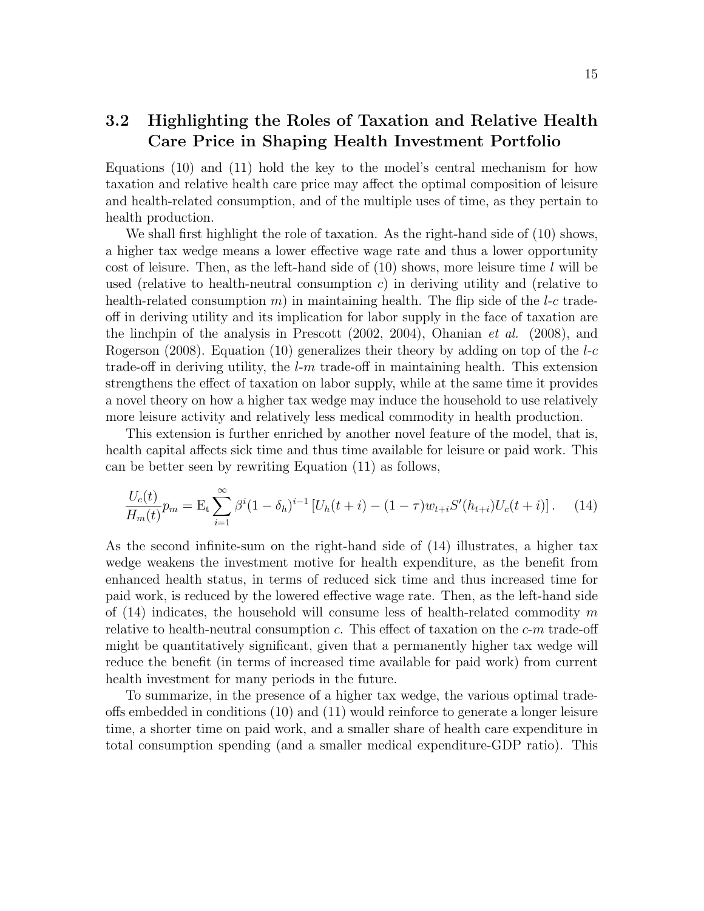### 3.2 Highlighting the Roles of Taxation and Relative Health Care Price in Shaping Health Investment Portfolio

Equations (10) and (11) hold the key to the model's central mechanism for how taxation and relative health care price may affect the optimal composition of leisure and health-related consumption, and of the multiple uses of time, as they pertain to health production.

We shall first highlight the role of taxation. As the right-hand side of (10) shows, a higher tax wedge means a lower effective wage rate and thus a lower opportunity cost of leisure. Then, as the left-hand side of  $(10)$  shows, more leisure time l will be used (relative to health-neutral consumption  $c$ ) in deriving utility and (relative to health-related consumption m) in maintaining health. The flip side of the  $l-c$  tradeoff in deriving utility and its implication for labor supply in the face of taxation are the linchpin of the analysis in Prescott (2002, 2004), Ohanian et al. (2008), and Rogerson (2008). Equation (10) generalizes their theory by adding on top of the  $l$ -c trade-off in deriving utility, the  $l-m$  trade-off in maintaining health. This extension strengthens the effect of taxation on labor supply, while at the same time it provides a novel theory on how a higher tax wedge may induce the household to use relatively more leisure activity and relatively less medical commodity in health production.

This extension is further enriched by another novel feature of the model, that is, health capital affects sick time and thus time available for leisure or paid work. This can be better seen by rewriting Equation (11) as follows,

$$
\frac{U_c(t)}{H_m(t)}p_m = \mathcal{E}_t \sum_{i=1}^{\infty} \beta^i (1 - \delta_h)^{i-1} \left[ U_h(t+i) - (1 - \tau) w_{t+i} S'(h_{t+i}) U_c(t+i) \right]. \tag{14}
$$

As the second infinite-sum on the right-hand side of (14) illustrates, a higher tax wedge weakens the investment motive for health expenditure, as the benefit from enhanced health status, in terms of reduced sick time and thus increased time for paid work, is reduced by the lowered effective wage rate. Then, as the left-hand side of  $(14)$  indicates, the household will consume less of health-related commodity m relative to health-neutral consumption c. This effect of taxation on the  $c-m$  trade-off might be quantitatively significant, given that a permanently higher tax wedge will reduce the benefit (in terms of increased time available for paid work) from current health investment for many periods in the future.

To summarize, in the presence of a higher tax wedge, the various optimal tradeoffs embedded in conditions (10) and (11) would reinforce to generate a longer leisure time, a shorter time on paid work, and a smaller share of health care expenditure in total consumption spending (and a smaller medical expenditure-GDP ratio). This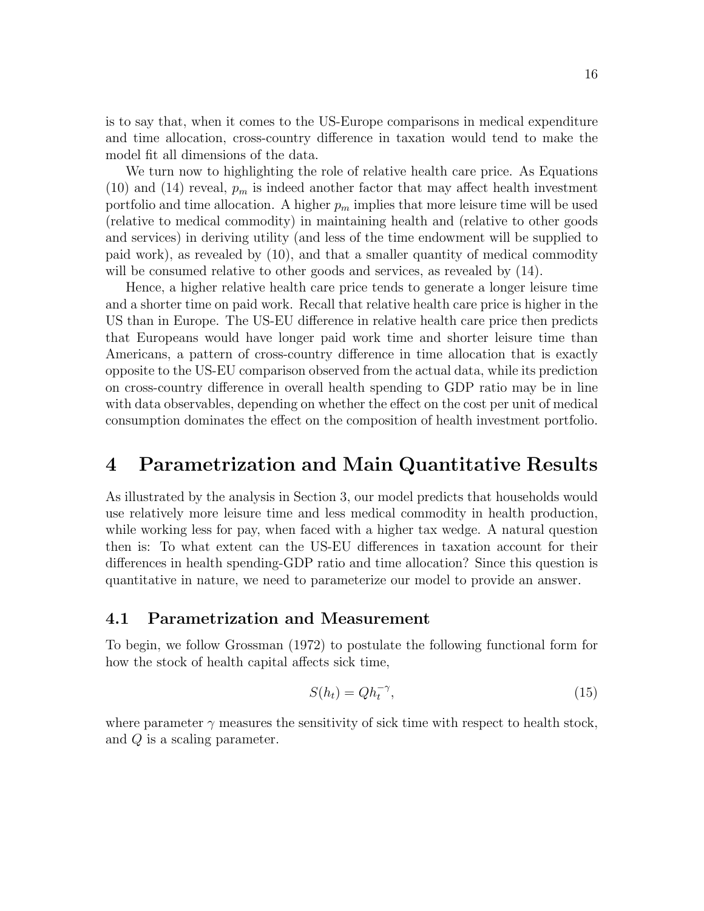is to say that, when it comes to the US-Europe comparisons in medical expenditure and time allocation, cross-country difference in taxation would tend to make the model fit all dimensions of the data.

We turn now to highlighting the role of relative health care price. As Equations (10) and (14) reveal,  $p_m$  is indeed another factor that may affect health investment portfolio and time allocation. A higher  $p_m$  implies that more leisure time will be used (relative to medical commodity) in maintaining health and (relative to other goods and services) in deriving utility (and less of the time endowment will be supplied to paid work), as revealed by (10), and that a smaller quantity of medical commodity will be consumed relative to other goods and services, as revealed by  $(14)$ .

Hence, a higher relative health care price tends to generate a longer leisure time and a shorter time on paid work. Recall that relative health care price is higher in the US than in Europe. The US-EU difference in relative health care price then predicts that Europeans would have longer paid work time and shorter leisure time than Americans, a pattern of cross-country difference in time allocation that is exactly opposite to the US-EU comparison observed from the actual data, while its prediction on cross-country difference in overall health spending to GDP ratio may be in line with data observables, depending on whether the effect on the cost per unit of medical consumption dominates the effect on the composition of health investment portfolio.

### 4 Parametrization and Main Quantitative Results

As illustrated by the analysis in Section 3, our model predicts that households would use relatively more leisure time and less medical commodity in health production, while working less for pay, when faced with a higher tax wedge. A natural question then is: To what extent can the US-EU differences in taxation account for their differences in health spending-GDP ratio and time allocation? Since this question is quantitative in nature, we need to parameterize our model to provide an answer.

#### 4.1 Parametrization and Measurement

To begin, we follow Grossman (1972) to postulate the following functional form for how the stock of health capital affects sick time,

$$
S(h_t) = Qh_t^{-\gamma},\tag{15}
$$

where parameter  $\gamma$  measures the sensitivity of sick time with respect to health stock, and Q is a scaling parameter.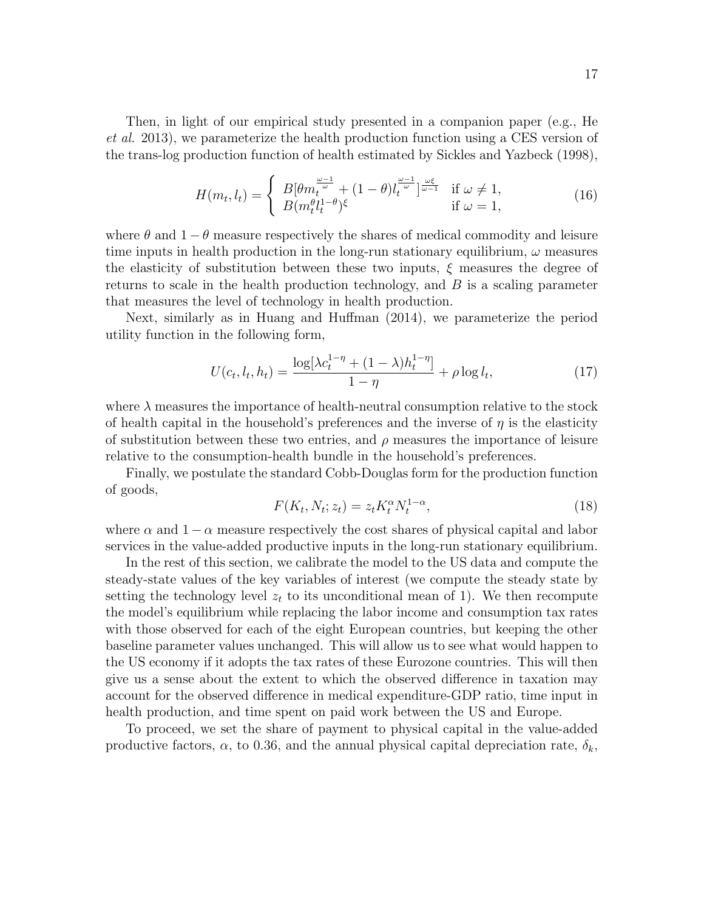Then, in light of our empirical study presented in a companion paper (e.g., He et al. 2013), we parameterize the health production function using a CES version of the trans-log production function of health estimated by Sickles and Yazbeck (1998),

$$
H(m_t, l_t) = \begin{cases} B[\theta m_t^{\frac{\omega - 1}{\omega}} + (1 - \theta) l_t^{\frac{\omega - 1}{\omega}}]^{\frac{\omega \xi}{\omega - 1}} & \text{if } \omega \neq 1, \\ B(m_t^{\theta} l_t^{1 - \theta})^{\xi} & \text{if } \omega = 1, \end{cases}
$$
(16)

where  $\theta$  and  $1 - \theta$  measure respectively the shares of medical commodity and leisure time inputs in health production in the long-run stationary equilibrium,  $\omega$  measures the elasticity of substitution between these two inputs,  $\xi$  measures the degree of returns to scale in the health production technology, and  $B$  is a scaling parameter that measures the level of technology in health production.

Next, similarly as in Huang and Huffman (2014), we parameterize the period utility function in the following form,

$$
U(c_t, l_t, h_t) = \frac{\log[\lambda c_t^{1-\eta} + (1-\lambda)h_t^{1-\eta}]}{1-\eta} + \rho \log l_t,
$$
\n(17)

where  $\lambda$  measures the importance of health-neutral consumption relative to the stock of health capital in the household's preferences and the inverse of  $\eta$  is the elasticity of substitution between these two entries, and  $\rho$  measures the importance of leisure relative to the consumption-health bundle in the household's preferences.

Finally, we postulate the standard Cobb-Douglas form for the production function of goods,

$$
F(K_t, N_t; z_t) = z_t K_t^{\alpha} N_t^{1-\alpha},\tag{18}
$$

where  $\alpha$  and  $1 - \alpha$  measure respectively the cost shares of physical capital and labor services in the value-added productive inputs in the long-run stationary equilibrium.

In the rest of this section, we calibrate the model to the US data and compute the steady-state values of the key variables of interest (we compute the steady state by setting the technology level  $z_t$  to its unconditional mean of 1). We then recompute the model's equilibrium while replacing the labor income and consumption tax rates with those observed for each of the eight European countries, but keeping the other baseline parameter values unchanged. This will allow us to see what would happen to the US economy if it adopts the tax rates of these Eurozone countries. This will then give us a sense about the extent to which the observed difference in taxation may account for the observed difference in medical expenditure-GDP ratio, time input in health production, and time spent on paid work between the US and Europe.

To proceed, we set the share of payment to physical capital in the value-added productive factors,  $\alpha$ , to 0.36, and the annual physical capital depreciation rate,  $\delta_k$ ,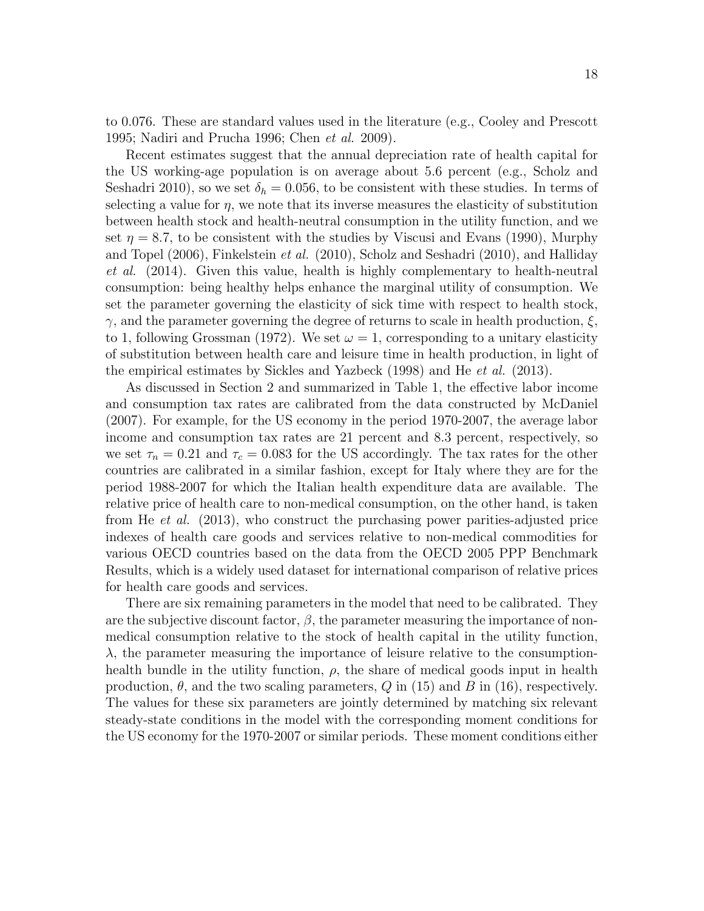to 0.076. These are standard values used in the literature (e.g., Cooley and Prescott 1995; Nadiri and Prucha 1996; Chen et al. 2009).

Recent estimates suggest that the annual depreciation rate of health capital for the US working-age population is on average about 5.6 percent (e.g., Scholz and Seshadri 2010), so we set  $\delta_h = 0.056$ , to be consistent with these studies. In terms of selecting a value for  $\eta$ , we note that its inverse measures the elasticity of substitution between health stock and health-neutral consumption in the utility function, and we set  $\eta = 8.7$ , to be consistent with the studies by Viscusi and Evans (1990), Murphy and Topel (2006), Finkelstein et al. (2010), Scholz and Seshadri (2010), and Halliday et al. (2014). Given this value, health is highly complementary to health-neutral consumption: being healthy helps enhance the marginal utility of consumption. We set the parameter governing the elasticity of sick time with respect to health stock,  $\gamma$ , and the parameter governing the degree of returns to scale in health production,  $\xi$ , to 1, following Grossman (1972). We set  $\omega = 1$ , corresponding to a unitary elasticity of substitution between health care and leisure time in health production, in light of the empirical estimates by Sickles and Yazbeck (1998) and He et al. (2013).

As discussed in Section 2 and summarized in Table 1, the effective labor income and consumption tax rates are calibrated from the data constructed by McDaniel (2007). For example, for the US economy in the period 1970-2007, the average labor income and consumption tax rates are 21 percent and 8.3 percent, respectively, so we set  $\tau_n = 0.21$  and  $\tau_c = 0.083$  for the US accordingly. The tax rates for the other countries are calibrated in a similar fashion, except for Italy where they are for the period 1988-2007 for which the Italian health expenditure data are available. The relative price of health care to non-medical consumption, on the other hand, is taken from He et al. (2013), who construct the purchasing power parities-adjusted price indexes of health care goods and services relative to non-medical commodities for various OECD countries based on the data from the OECD 2005 PPP Benchmark Results, which is a widely used dataset for international comparison of relative prices for health care goods and services.

There are six remaining parameters in the model that need to be calibrated. They are the subjective discount factor,  $\beta$ , the parameter measuring the importance of nonmedical consumption relative to the stock of health capital in the utility function,  $\lambda$ , the parameter measuring the importance of leisure relative to the consumptionhealth bundle in the utility function,  $\rho$ , the share of medical goods input in health production,  $\theta$ , and the two scaling parameters,  $Q$  in (15) and  $B$  in (16), respectively. The values for these six parameters are jointly determined by matching six relevant steady-state conditions in the model with the corresponding moment conditions for the US economy for the 1970-2007 or similar periods. These moment conditions either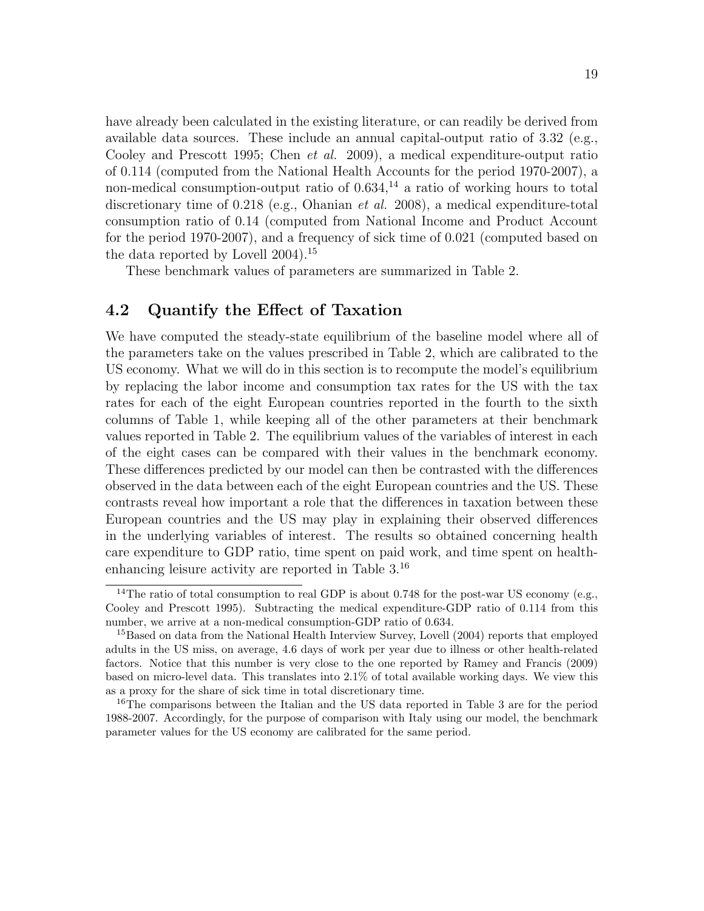have already been calculated in the existing literature, or can readily be derived from available data sources. These include an annual capital-output ratio of  $3.32$  (e.g., Cooley and Prescott 1995; Chen et al. 2009), a medical expenditure-output ratio of 0.114 (computed from the National Health Accounts for the period 1970-2007), a non-medical consumption-output ratio of  $0.634$ ,<sup>14</sup> a ratio of working hours to total discretionary time of 0.218 (e.g., Ohanian et al. 2008), a medical expenditure-total consumption ratio of 0.14 (computed from National Income and Product Account for the period 1970-2007), and a frequency of sick time of 0.021 (computed based on the data reported by Lovell 2004). 15

These benchmark values of parameters are summarized in Table 2.

#### 4.2 Quantify the Effect of Taxation

We have computed the steady-state equilibrium of the baseline model where all of the parameters take on the values prescribed in Table 2, which are calibrated to the US economy. What we will do in this section is to recompute the model's equilibrium by replacing the labor income and consumption tax rates for the US with the tax rates for each of the eight European countries reported in the fourth to the sixth columns of Table 1, while keeping all of the other parameters at their benchmark values reported in Table 2. The equilibrium values of the variables of interest in each of the eight cases can be compared with their values in the benchmark economy. These differences predicted by our model can then be contrasted with the differences observed in the data between each of the eight European countries and the US. These contrasts reveal how important a role that the differences in taxation between these European countries and the US may play in explaining their observed differences in the underlying variables of interest. The results so obtained concerning health care expenditure to GDP ratio, time spent on paid work, and time spent on healthenhancing leisure activity are reported in Table 3.<sup>16</sup>

<sup>&</sup>lt;sup>14</sup>The ratio of total consumption to real GDP is about 0.748 for the post-war US economy (e.g., Cooley and Prescott 1995). Subtracting the medical expenditure-GDP ratio of 0.114 from this number, we arrive at a non-medical consumption-GDP ratio of 0.634.

<sup>&</sup>lt;sup>15</sup>Based on data from the National Health Interview Survey, Lovell (2004) reports that employed adults in the US miss, on average, 4.6 days of work per year due to illness or other health-related factors. Notice that this number is very close to the one reported by Ramey and Francis (2009) based on micro-level data. This translates into 2.1% of total available working days. We view this as a proxy for the share of sick time in total discretionary time.

<sup>&</sup>lt;sup>16</sup>The comparisons between the Italian and the US data reported in Table 3 are for the period 1988-2007. Accordingly, for the purpose of comparison with Italy using our model, the benchmark parameter values for the US economy are calibrated for the same period.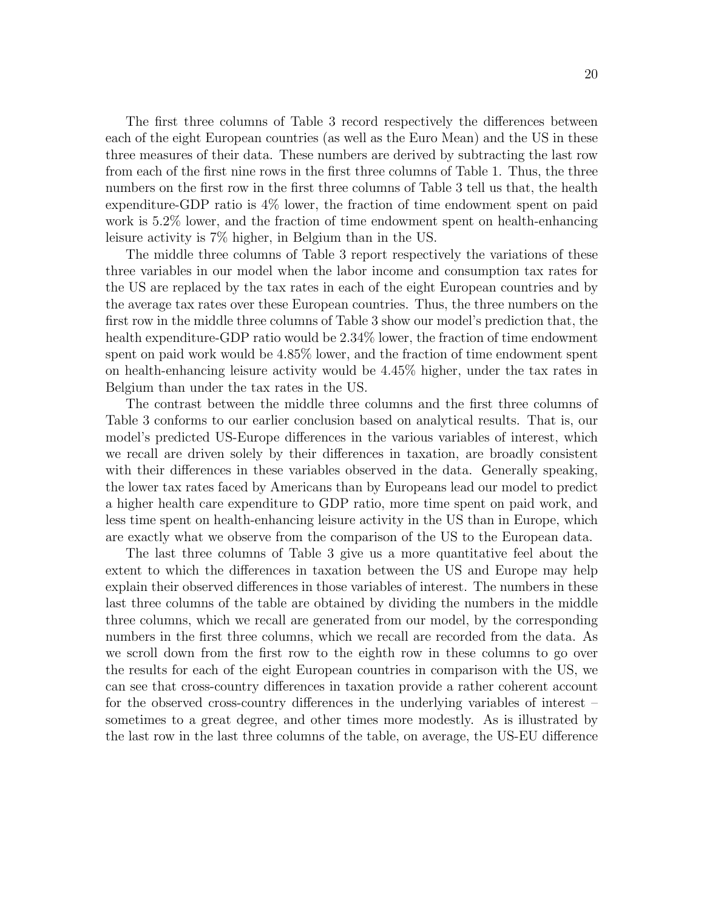The first three columns of Table 3 record respectively the differences between each of the eight European countries (as well as the Euro Mean) and the US in these three measures of their data. These numbers are derived by subtracting the last row from each of the first nine rows in the first three columns of Table 1. Thus, the three numbers on the first row in the first three columns of Table 3 tell us that, the health expenditure-GDP ratio is 4% lower, the fraction of time endowment spent on paid work is 5.2% lower, and the fraction of time endowment spent on health-enhancing leisure activity is 7% higher, in Belgium than in the US.

The middle three columns of Table 3 report respectively the variations of these three variables in our model when the labor income and consumption tax rates for the US are replaced by the tax rates in each of the eight European countries and by the average tax rates over these European countries. Thus, the three numbers on the first row in the middle three columns of Table 3 show our model's prediction that, the health expenditure-GDP ratio would be 2.34\% lower, the fraction of time endowment spent on paid work would be 4.85% lower, and the fraction of time endowment spent on health-enhancing leisure activity would be 4.45% higher, under the tax rates in Belgium than under the tax rates in the US.

The contrast between the middle three columns and the first three columns of Table 3 conforms to our earlier conclusion based on analytical results. That is, our model's predicted US-Europe differences in the various variables of interest, which we recall are driven solely by their differences in taxation, are broadly consistent with their differences in these variables observed in the data. Generally speaking, the lower tax rates faced by Americans than by Europeans lead our model to predict a higher health care expenditure to GDP ratio, more time spent on paid work, and less time spent on health-enhancing leisure activity in the US than in Europe, which are exactly what we observe from the comparison of the US to the European data.

The last three columns of Table 3 give us a more quantitative feel about the extent to which the differences in taxation between the US and Europe may help explain their observed differences in those variables of interest. The numbers in these last three columns of the table are obtained by dividing the numbers in the middle three columns, which we recall are generated from our model, by the corresponding numbers in the first three columns, which we recall are recorded from the data. As we scroll down from the first row to the eighth row in these columns to go over the results for each of the eight European countries in comparison with the US, we can see that cross-country differences in taxation provide a rather coherent account for the observed cross-country differences in the underlying variables of interest – sometimes to a great degree, and other times more modestly. As is illustrated by the last row in the last three columns of the table, on average, the US-EU difference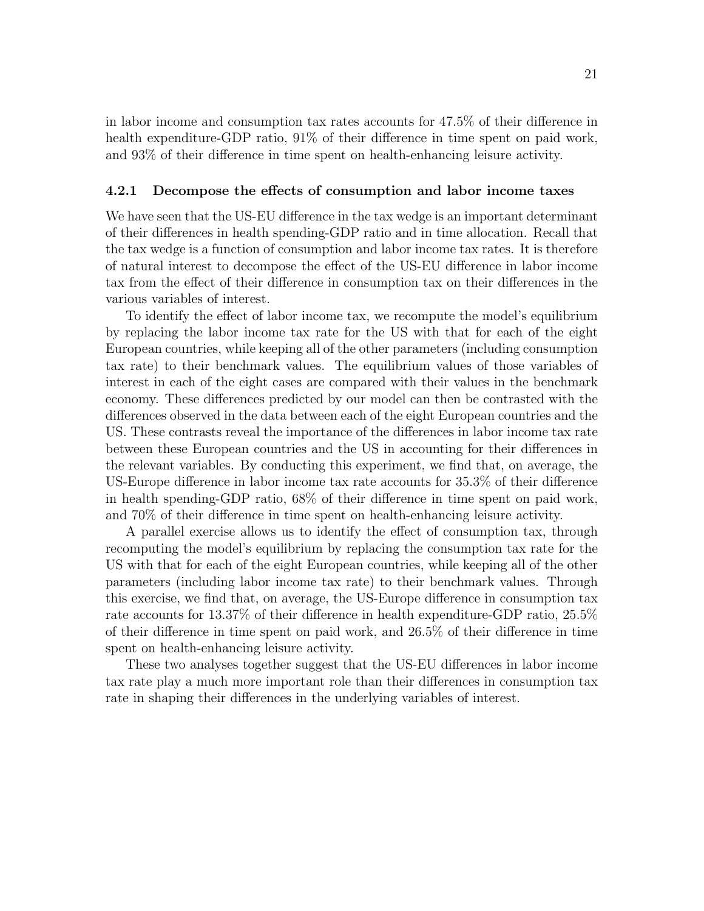in labor income and consumption tax rates accounts for 47.5% of their difference in health expenditure-GDP ratio,  $91\%$  of their difference in time spent on paid work, and 93% of their difference in time spent on health-enhancing leisure activity.

#### 4.2.1 Decompose the effects of consumption and labor income taxes

We have seen that the US-EU difference in the tax wedge is an important determinant of their differences in health spending-GDP ratio and in time allocation. Recall that the tax wedge is a function of consumption and labor income tax rates. It is therefore of natural interest to decompose the effect of the US-EU difference in labor income tax from the effect of their difference in consumption tax on their differences in the various variables of interest.

To identify the effect of labor income tax, we recompute the model's equilibrium by replacing the labor income tax rate for the US with that for each of the eight European countries, while keeping all of the other parameters (including consumption tax rate) to their benchmark values. The equilibrium values of those variables of interest in each of the eight cases are compared with their values in the benchmark economy. These differences predicted by our model can then be contrasted with the differences observed in the data between each of the eight European countries and the US. These contrasts reveal the importance of the differences in labor income tax rate between these European countries and the US in accounting for their differences in the relevant variables. By conducting this experiment, we find that, on average, the US-Europe difference in labor income tax rate accounts for 35.3% of their difference in health spending-GDP ratio, 68% of their difference in time spent on paid work, and 70% of their difference in time spent on health-enhancing leisure activity.

A parallel exercise allows us to identify the effect of consumption tax, through recomputing the model's equilibrium by replacing the consumption tax rate for the US with that for each of the eight European countries, while keeping all of the other parameters (including labor income tax rate) to their benchmark values. Through this exercise, we find that, on average, the US-Europe difference in consumption tax rate accounts for 13.37% of their difference in health expenditure-GDP ratio, 25.5% of their difference in time spent on paid work, and 26.5% of their difference in time spent on health-enhancing leisure activity.

These two analyses together suggest that the US-EU differences in labor income tax rate play a much more important role than their differences in consumption tax rate in shaping their differences in the underlying variables of interest.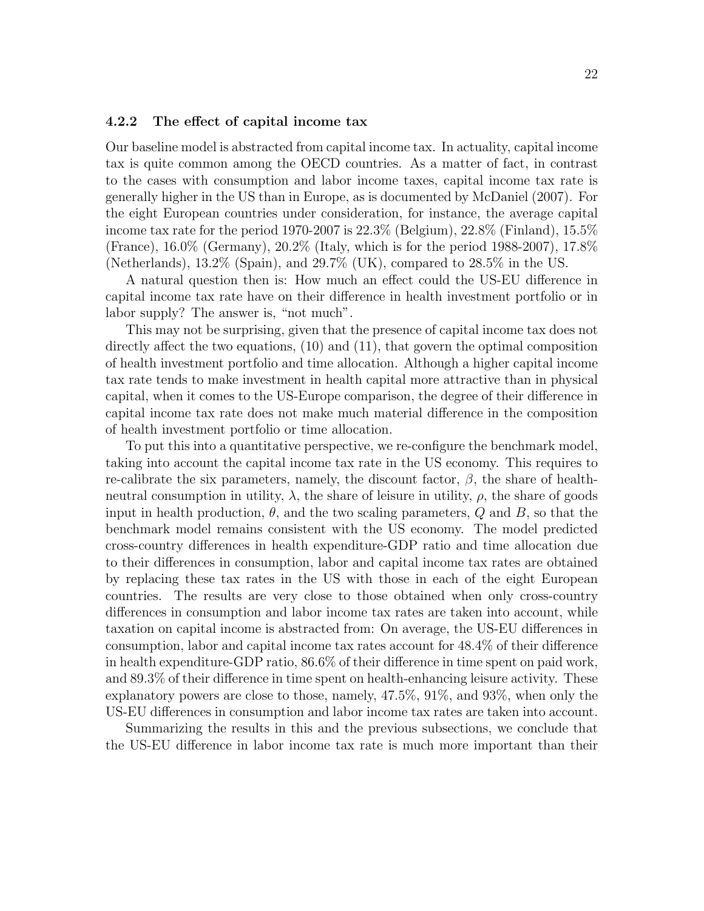#### 4.2.2 The effect of capital income tax

Our baseline model is abstracted from capital income tax. In actuality, capital income tax is quite common among the OECD countries. As a matter of fact, in contrast to the cases with consumption and labor income taxes, capital income tax rate is generally higher in the US than in Europe, as is documented by McDaniel (2007). For the eight European countries under consideration, for instance, the average capital income tax rate for the period 1970-2007 is  $22.3\%$  (Belgium),  $22.8\%$  (Finland),  $15.5\%$ (France), 16.0% (Germany), 20.2% (Italy, which is for the period 1988-2007), 17.8% (Netherlands), 13.2% (Spain), and 29.7% (UK), compared to 28.5% in the US.

A natural question then is: How much an effect could the US-EU difference in capital income tax rate have on their difference in health investment portfolio or in labor supply? The answer is, "not much".

This may not be surprising, given that the presence of capital income tax does not directly affect the two equations, (10) and (11), that govern the optimal composition of health investment portfolio and time allocation. Although a higher capital income tax rate tends to make investment in health capital more attractive than in physical capital, when it comes to the US-Europe comparison, the degree of their difference in capital income tax rate does not make much material difference in the composition of health investment portfolio or time allocation.

To put this into a quantitative perspective, we re-configure the benchmark model, taking into account the capital income tax rate in the US economy. This requires to re-calibrate the six parameters, namely, the discount factor,  $\beta$ , the share of healthneutral consumption in utility,  $\lambda$ , the share of leisure in utility,  $\rho$ , the share of goods input in health production,  $\theta$ , and the two scaling parameters,  $Q$  and  $B$ , so that the benchmark model remains consistent with the US economy. The model predicted cross-country differences in health expenditure-GDP ratio and time allocation due to their differences in consumption, labor and capital income tax rates are obtained by replacing these tax rates in the US with those in each of the eight European countries. The results are very close to those obtained when only cross-country differences in consumption and labor income tax rates are taken into account, while taxation on capital income is abstracted from: On average, the US-EU differences in consumption, labor and capital income tax rates account for 48.4% of their difference in health expenditure-GDP ratio, 86.6% of their difference in time spent on paid work, and 89.3% of their difference in time spent on health-enhancing leisure activity. These explanatory powers are close to those, namely, 47.5%, 91%, and 93%, when only the US-EU differences in consumption and labor income tax rates are taken into account.

Summarizing the results in this and the previous subsections, we conclude that the US-EU difference in labor income tax rate is much more important than their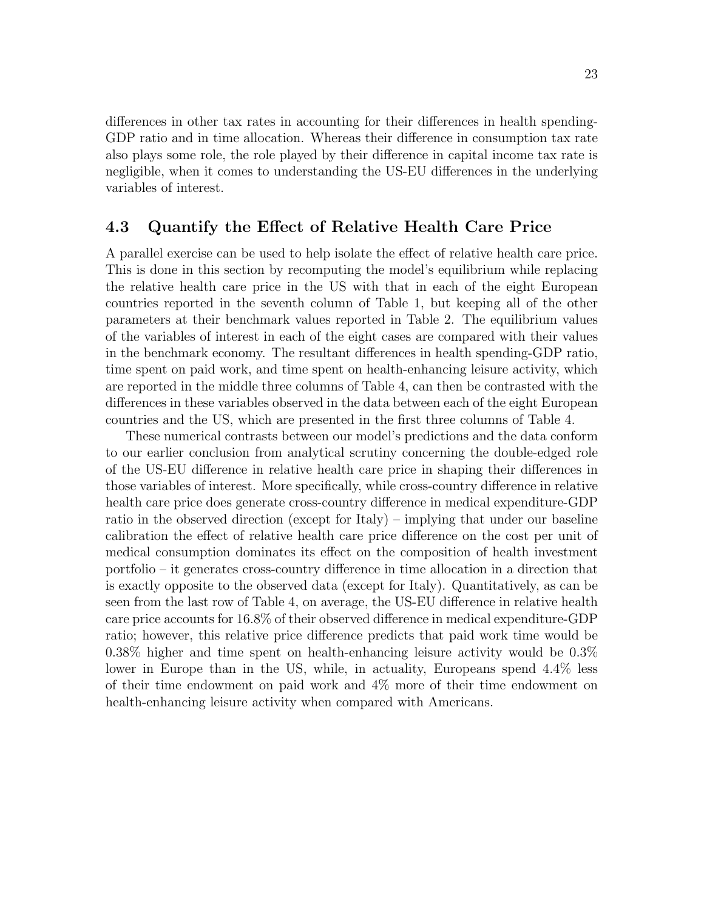differences in other tax rates in accounting for their differences in health spending-GDP ratio and in time allocation. Whereas their difference in consumption tax rate also plays some role, the role played by their difference in capital income tax rate is negligible, when it comes to understanding the US-EU differences in the underlying variables of interest.

#### 4.3 Quantify the Effect of Relative Health Care Price

A parallel exercise can be used to help isolate the effect of relative health care price. This is done in this section by recomputing the model's equilibrium while replacing the relative health care price in the US with that in each of the eight European countries reported in the seventh column of Table 1, but keeping all of the other parameters at their benchmark values reported in Table 2. The equilibrium values of the variables of interest in each of the eight cases are compared with their values in the benchmark economy. The resultant differences in health spending-GDP ratio, time spent on paid work, and time spent on health-enhancing leisure activity, which are reported in the middle three columns of Table 4, can then be contrasted with the differences in these variables observed in the data between each of the eight European countries and the US, which are presented in the first three columns of Table 4.

These numerical contrasts between our model's predictions and the data conform to our earlier conclusion from analytical scrutiny concerning the double-edged role of the US-EU difference in relative health care price in shaping their differences in those variables of interest. More specifically, while cross-country difference in relative health care price does generate cross-country difference in medical expenditure-GDP ratio in the observed direction (except for Italy) – implying that under our baseline calibration the effect of relative health care price difference on the cost per unit of medical consumption dominates its effect on the composition of health investment portfolio – it generates cross-country difference in time allocation in a direction that is exactly opposite to the observed data (except for Italy). Quantitatively, as can be seen from the last row of Table 4, on average, the US-EU difference in relative health care price accounts for 16.8% of their observed difference in medical expenditure-GDP ratio; however, this relative price difference predicts that paid work time would be 0.38% higher and time spent on health-enhancing leisure activity would be 0.3% lower in Europe than in the US, while, in actuality, Europeans spend 4.4% less of their time endowment on paid work and 4% more of their time endowment on health-enhancing leisure activity when compared with Americans.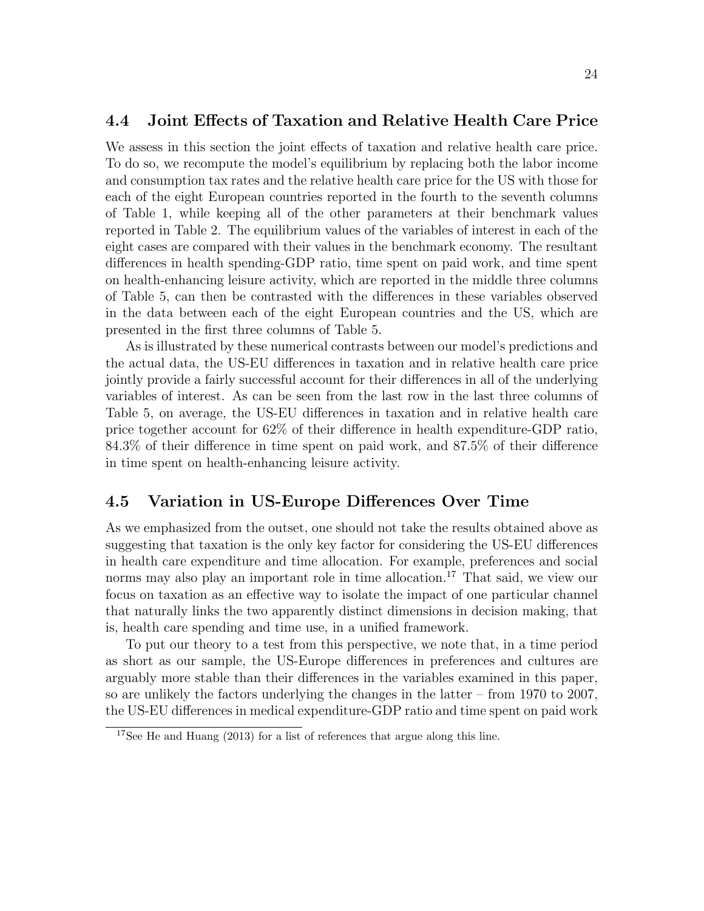#### 4.4 Joint Effects of Taxation and Relative Health Care Price

We assess in this section the joint effects of taxation and relative health care price. To do so, we recompute the model's equilibrium by replacing both the labor income and consumption tax rates and the relative health care price for the US with those for each of the eight European countries reported in the fourth to the seventh columns of Table 1, while keeping all of the other parameters at their benchmark values reported in Table 2. The equilibrium values of the variables of interest in each of the eight cases are compared with their values in the benchmark economy. The resultant differences in health spending-GDP ratio, time spent on paid work, and time spent on health-enhancing leisure activity, which are reported in the middle three columns of Table 5, can then be contrasted with the differences in these variables observed in the data between each of the eight European countries and the US, which are presented in the first three columns of Table 5.

As is illustrated by these numerical contrasts between our model's predictions and the actual data, the US-EU differences in taxation and in relative health care price jointly provide a fairly successful account for their differences in all of the underlying variables of interest. As can be seen from the last row in the last three columns of Table 5, on average, the US-EU differences in taxation and in relative health care price together account for 62% of their difference in health expenditure-GDP ratio, 84.3% of their difference in time spent on paid work, and 87.5% of their difference in time spent on health-enhancing leisure activity.

### 4.5 Variation in US-Europe Differences Over Time

As we emphasized from the outset, one should not take the results obtained above as suggesting that taxation is the only key factor for considering the US-EU differences in health care expenditure and time allocation. For example, preferences and social norms may also play an important role in time allocation. <sup>17</sup> That said, we view our focus on taxation as an effective way to isolate the impact of one particular channel that naturally links the two apparently distinct dimensions in decision making, that is, health care spending and time use, in a unified framework.

To put our theory to a test from this perspective, we note that, in a time period as short as our sample, the US-Europe differences in preferences and cultures are arguably more stable than their differences in the variables examined in this paper, so are unlikely the factors underlying the changes in the latter – from 1970 to 2007, the US-EU differences in medical expenditure-GDP ratio and time spent on paid work

<sup>17</sup>See He and Huang (2013) for a list of references that argue along this line.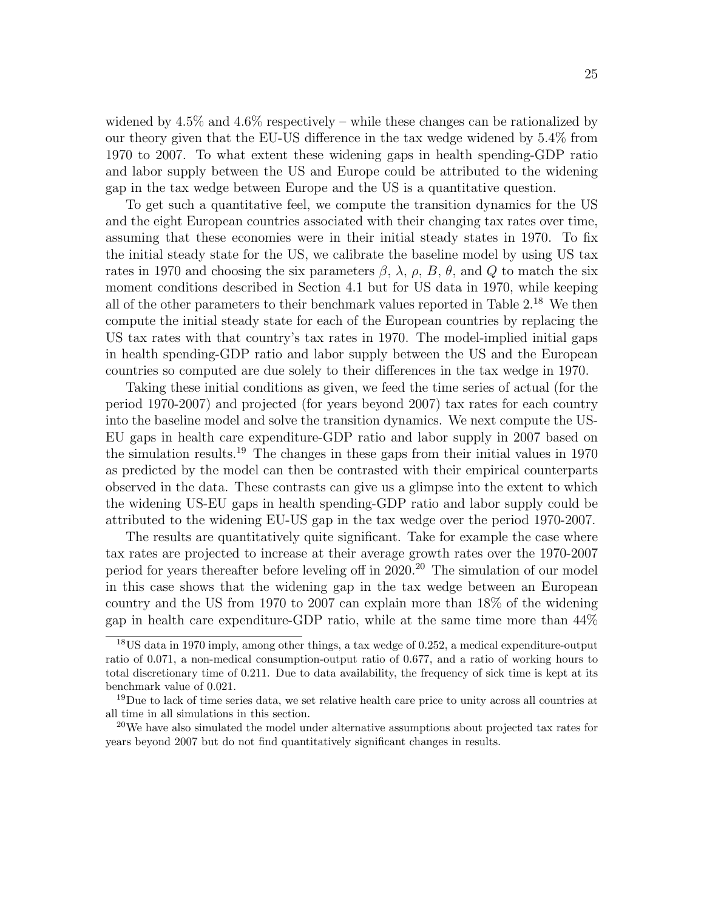widened by  $4.5\%$  and  $4.6\%$  respectively – while these changes can be rationalized by our theory given that the EU-US difference in the tax wedge widened by 5.4% from 1970 to 2007. To what extent these widening gaps in health spending-GDP ratio and labor supply between the US and Europe could be attributed to the widening gap in the tax wedge between Europe and the US is a quantitative question.

To get such a quantitative feel, we compute the transition dynamics for the US and the eight European countries associated with their changing tax rates over time, assuming that these economies were in their initial steady states in 1970. To fix the initial steady state for the US, we calibrate the baseline model by using US tax rates in 1970 and choosing the six parameters  $\beta$ ,  $\lambda$ ,  $\rho$ ,  $B$ ,  $\theta$ , and  $Q$  to match the six moment conditions described in Section 4.1 but for US data in 1970, while keeping all of the other parameters to their benchmark values reported in Table  $2^{18}$ . We then compute the initial steady state for each of the European countries by replacing the US tax rates with that country's tax rates in 1970. The model-implied initial gaps in health spending-GDP ratio and labor supply between the US and the European countries so computed are due solely to their differences in the tax wedge in 1970.

Taking these initial conditions as given, we feed the time series of actual (for the period 1970-2007) and projected (for years beyond 2007) tax rates for each country into the baseline model and solve the transition dynamics. We next compute the US-EU gaps in health care expenditure-GDP ratio and labor supply in 2007 based on the simulation results. <sup>19</sup> The changes in these gaps from their initial values in 1970 as predicted by the model can then be contrasted with their empirical counterparts observed in the data. These contrasts can give us a glimpse into the extent to which the widening US-EU gaps in health spending-GDP ratio and labor supply could be attributed to the widening EU-US gap in the tax wedge over the period 1970-2007.

The results are quantitatively quite significant. Take for example the case where tax rates are projected to increase at their average growth rates over the 1970-2007 period for years thereafter before leveling off in 2020. <sup>20</sup> The simulation of our model in this case shows that the widening gap in the tax wedge between an European country and the US from 1970 to 2007 can explain more than 18% of the widening gap in health care expenditure-GDP ratio, while at the same time more than 44%

<sup>&</sup>lt;sup>18</sup>US data in 1970 imply, among other things, a tax wedge of 0.252, a medical expenditure-output ratio of 0.071, a non-medical consumption-output ratio of 0.677, and a ratio of working hours to total discretionary time of 0.211. Due to data availability, the frequency of sick time is kept at its benchmark value of 0.021.

<sup>&</sup>lt;sup>19</sup>Due to lack of time series data, we set relative health care price to unity across all countries at all time in all simulations in this section.

<sup>&</sup>lt;sup>20</sup>We have also simulated the model under alternative assumptions about projected tax rates for years beyond 2007 but do not find quantitatively significant changes in results.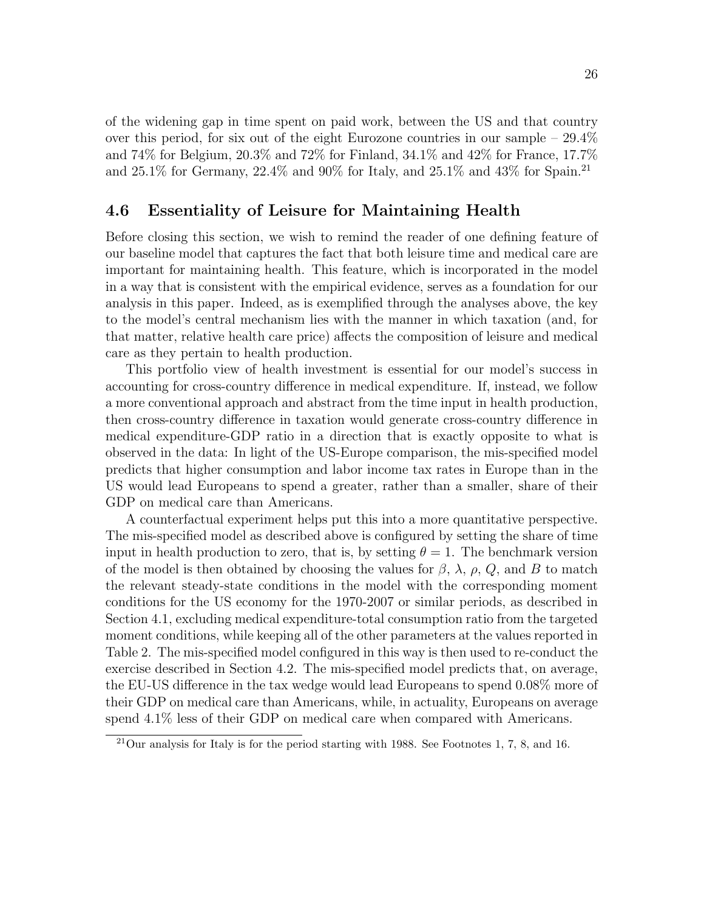of the widening gap in time spent on paid work, between the US and that country over this period, for six out of the eight Eurozone countries in our sample  $-29.4\%$ and  $74\%$  for Belgium,  $20.3\%$  and  $72\%$  for Finland,  $34.1\%$  and  $42\%$  for France,  $17.7\%$ and 25.1% for Germany, 22.4% and 90% for Italy, and 25.1% and 43% for Spain. 21

### 4.6 Essentiality of Leisure for Maintaining Health

Before closing this section, we wish to remind the reader of one defining feature of our baseline model that captures the fact that both leisure time and medical care are important for maintaining health. This feature, which is incorporated in the model in a way that is consistent with the empirical evidence, serves as a foundation for our analysis in this paper. Indeed, as is exemplified through the analyses above, the key to the model's central mechanism lies with the manner in which taxation (and, for that matter, relative health care price) affects the composition of leisure and medical care as they pertain to health production.

This portfolio view of health investment is essential for our model's success in accounting for cross-country difference in medical expenditure. If, instead, we follow a more conventional approach and abstract from the time input in health production, then cross-country difference in taxation would generate cross-country difference in medical expenditure-GDP ratio in a direction that is exactly opposite to what is observed in the data: In light of the US-Europe comparison, the mis-specified model predicts that higher consumption and labor income tax rates in Europe than in the US would lead Europeans to spend a greater, rather than a smaller, share of their GDP on medical care than Americans.

A counterfactual experiment helps put this into a more quantitative perspective. The mis-specified model as described above is configured by setting the share of time input in health production to zero, that is, by setting  $\theta = 1$ . The benchmark version of the model is then obtained by choosing the values for  $\beta$ ,  $\lambda$ ,  $\rho$ ,  $Q$ , and B to match the relevant steady-state conditions in the model with the corresponding moment conditions for the US economy for the 1970-2007 or similar periods, as described in Section 4.1, excluding medical expenditure-total consumption ratio from the targeted moment conditions, while keeping all of the other parameters at the values reported in Table 2. The mis-specified model configured in this way is then used to re-conduct the exercise described in Section 4.2. The mis-specified model predicts that, on average, the EU-US difference in the tax wedge would lead Europeans to spend 0.08% more of their GDP on medical care than Americans, while, in actuality, Europeans on average spend 4.1% less of their GDP on medical care when compared with Americans.

<sup>21</sup>Our analysis for Italy is for the period starting with 1988. See Footnotes 1, 7, 8, and 16.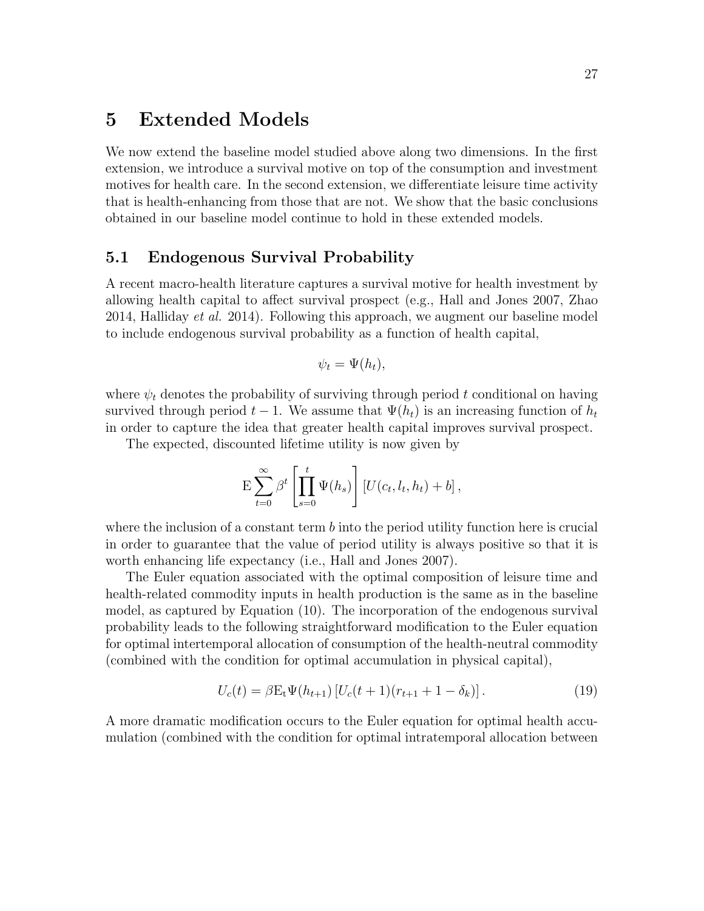### 5 Extended Models

We now extend the baseline model studied above along two dimensions. In the first extension, we introduce a survival motive on top of the consumption and investment motives for health care. In the second extension, we differentiate leisure time activity that is health-enhancing from those that are not. We show that the basic conclusions obtained in our baseline model continue to hold in these extended models.

#### 5.1 Endogenous Survival Probability

A recent macro-health literature captures a survival motive for health investment by allowing health capital to affect survival prospect (e.g., Hall and Jones 2007, Zhao 2014, Halliday et al. 2014). Following this approach, we augment our baseline model to include endogenous survival probability as a function of health capital,

$$
\psi_t = \Psi(h_t),
$$

where  $\psi_t$  denotes the probability of surviving through period t conditional on having survived through period  $t - 1$ . We assume that  $\Psi(h_t)$  is an increasing function of  $h_t$ in order to capture the idea that greater health capital improves survival prospect.

The expected, discounted lifetime utility is now given by

$$
\mathcal{E}\sum_{t=0}^{\infty}\beta^t\left[\prod_{s=0}^t\Psi(h_s)\right][U(c_t,l_t,h_t)+b],
$$

where the inclusion of a constant term  $b$  into the period utility function here is crucial in order to guarantee that the value of period utility is always positive so that it is worth enhancing life expectancy (i.e., Hall and Jones 2007).

The Euler equation associated with the optimal composition of leisure time and health-related commodity inputs in health production is the same as in the baseline model, as captured by Equation (10). The incorporation of the endogenous survival probability leads to the following straightforward modification to the Euler equation for optimal intertemporal allocation of consumption of the health-neutral commodity (combined with the condition for optimal accumulation in physical capital),

$$
U_c(t) = \beta E_t \Psi(h_{t+1}) \left[ U_c(t+1)(r_{t+1} + 1 - \delta_k) \right]. \tag{19}
$$

A more dramatic modification occurs to the Euler equation for optimal health accumulation (combined with the condition for optimal intratemporal allocation between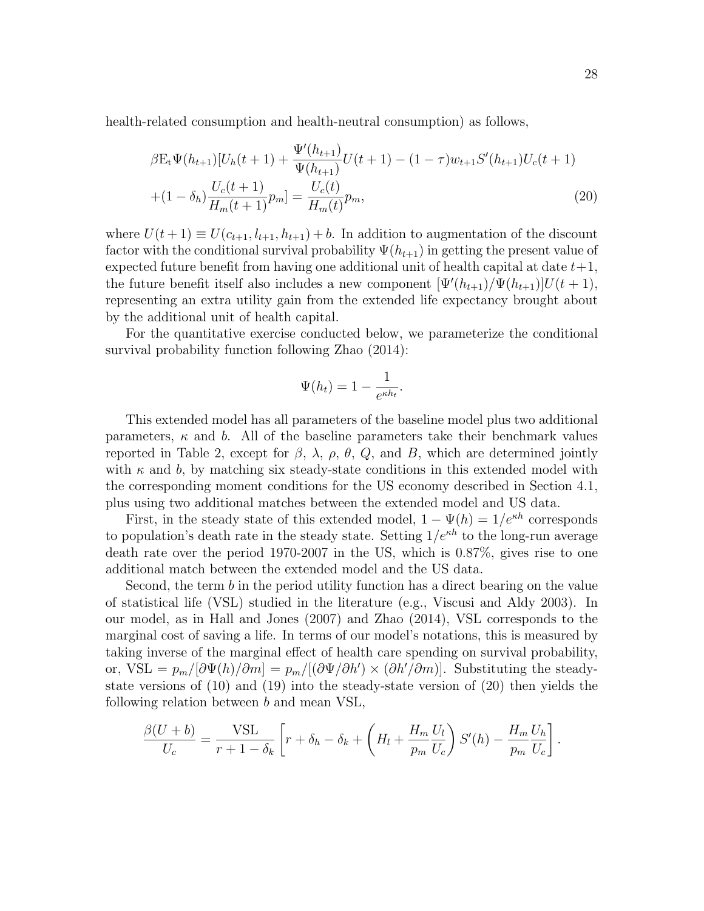health-related consumption and health-neutral consumption) as follows,

$$
\beta E_t \Psi(h_{t+1}) [U_h(t+1) + \frac{\Psi'(h_{t+1})}{\Psi(h_{t+1})} U(t+1) - (1-\tau) w_{t+1} S'(h_{t+1}) U_c(t+1) + (1-\delta_h) \frac{U_c(t+1)}{H_m(t+1)} p_m] = \frac{U_c(t)}{H_m(t)} p_m,
$$
\n(20)

where  $U(t + 1) \equiv U(c_{t+1}, l_{t+1}, h_{t+1}) + b$ . In addition to augmentation of the discount factor with the conditional survival probability  $\Psi(h_{t+1})$  in getting the present value of expected future benefit from having one additional unit of health capital at date  $t+1$ , the future benefit itself also includes a new component  $[\Psi'(h_{t+1})/\Psi(h_{t+1})]U(t+1),$ representing an extra utility gain from the extended life expectancy brought about by the additional unit of health capital.

For the quantitative exercise conducted below, we parameterize the conditional survival probability function following Zhao (2014):

$$
\Psi(h_t) = 1 - \frac{1}{e^{\kappa h_t}}.
$$

This extended model has all parameters of the baseline model plus two additional parameters,  $\kappa$  and b. All of the baseline parameters take their benchmark values reported in Table 2, except for  $\beta$ ,  $\lambda$ ,  $\rho$ ,  $\theta$ ,  $Q$ , and B, which are determined jointly with  $\kappa$  and b, by matching six steady-state conditions in this extended model with the corresponding moment conditions for the US economy described in Section 4.1, plus using two additional matches between the extended model and US data.

First, in the steady state of this extended model,  $1 - \Psi(h) = 1/e^{\kappa h}$  corresponds to population's death rate in the steady state. Setting  $1/e^{\kappa h}$  to the long-run average death rate over the period 1970-2007 in the US, which is 0.87%, gives rise to one additional match between the extended model and the US data.

Second, the term b in the period utility function has a direct bearing on the value of statistical life (VSL) studied in the literature (e.g., Viscusi and Aldy 2003). In our model, as in Hall and Jones (2007) and Zhao (2014), VSL corresponds to the marginal cost of saving a life. In terms of our model's notations, this is measured by taking inverse of the marginal effect of health care spending on survival probability, or, VSL =  $p_m/[\partial \Psi(h)/\partial m] = p_m/[(\partial \Psi/\partial h') \times (\partial h'/\partial m)]$ . Substituting the steadystate versions of (10) and (19) into the steady-state version of (20) then yields the following relation between b and mean VSL,

$$
\frac{\beta(U+b)}{U_c} = \frac{\text{VSL}}{r+1-\delta_k} \left[ r + \delta_h - \delta_k + \left( H_l + \frac{H_m}{p_m} \frac{U_l}{U_c} \right) S'(h) - \frac{H_m}{p_m} \frac{U_h}{U_c} \right].
$$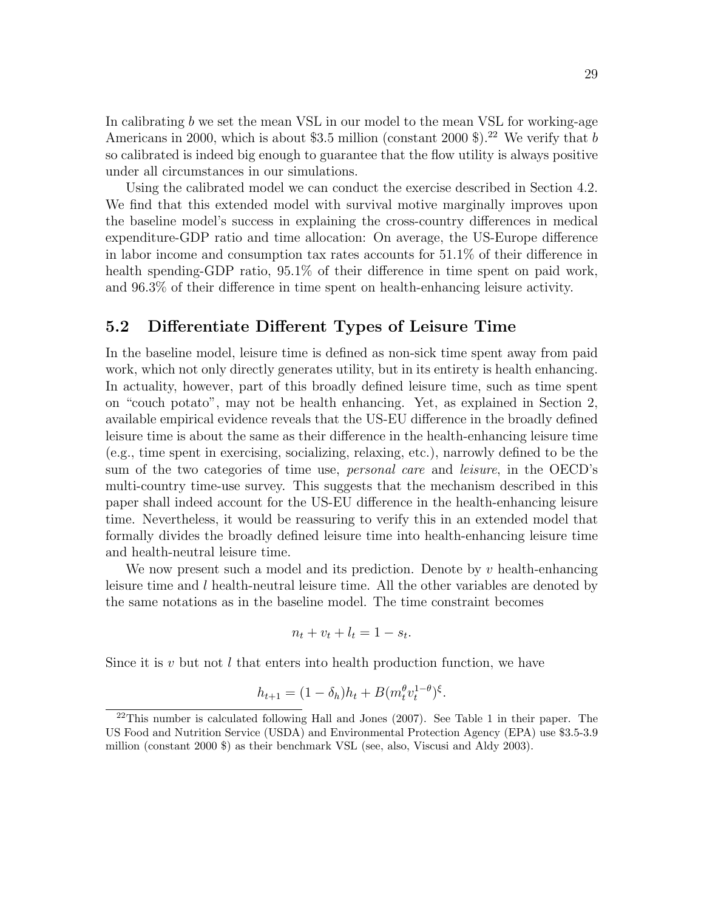In calibrating  $b$  we set the mean VSL in our model to the mean VSL for working-age Americans in 2000, which is about \$3.5 million (constant 2000 \$).<sup>22</sup> We verify that b so calibrated is indeed big enough to guarantee that the flow utility is always positive under all circumstances in our simulations.

Using the calibrated model we can conduct the exercise described in Section 4.2. We find that this extended model with survival motive marginally improves upon the baseline model's success in explaining the cross-country differences in medical expenditure-GDP ratio and time allocation: On average, the US-Europe difference in labor income and consumption tax rates accounts for 51.1% of their difference in health spending-GDP ratio,  $95.1\%$  of their difference in time spent on paid work, and 96.3% of their difference in time spent on health-enhancing leisure activity.

#### 5.2 Differentiate Different Types of Leisure Time

In the baseline model, leisure time is defined as non-sick time spent away from paid work, which not only directly generates utility, but in its entirety is health enhancing. In actuality, however, part of this broadly defined leisure time, such as time spent on "couch potato", may not be health enhancing. Yet, as explained in Section 2, available empirical evidence reveals that the US-EU difference in the broadly defined leisure time is about the same as their difference in the health-enhancing leisure time (e.g., time spent in exercising, socializing, relaxing, etc.), narrowly defined to be the sum of the two categories of time use, *personal care* and *leisure*, in the OECD's multi-country time-use survey. This suggests that the mechanism described in this paper shall indeed account for the US-EU difference in the health-enhancing leisure time. Nevertheless, it would be reassuring to verify this in an extended model that formally divides the broadly defined leisure time into health-enhancing leisure time and health-neutral leisure time.

We now present such a model and its prediction. Denote by  $v$  health-enhancing leisure time and  $l$  health-neutral leisure time. All the other variables are denoted by the same notations as in the baseline model. The time constraint becomes

$$
n_t + v_t + l_t = 1 - s_t.
$$

Since it is  $v$  but not l that enters into health production function, we have

$$
h_{t+1} = (1 - \delta_h)h_t + B(m_t^{\theta}v_t^{1-\theta})^{\xi}.
$$

 $^{22}$ This number is calculated following Hall and Jones (2007). See Table 1 in their paper. The US Food and Nutrition Service (USDA) and Environmental Protection Agency (EPA) use \$3.5-3.9 million (constant 2000 \$) as their benchmark VSL (see, also, Viscusi and Aldy 2003).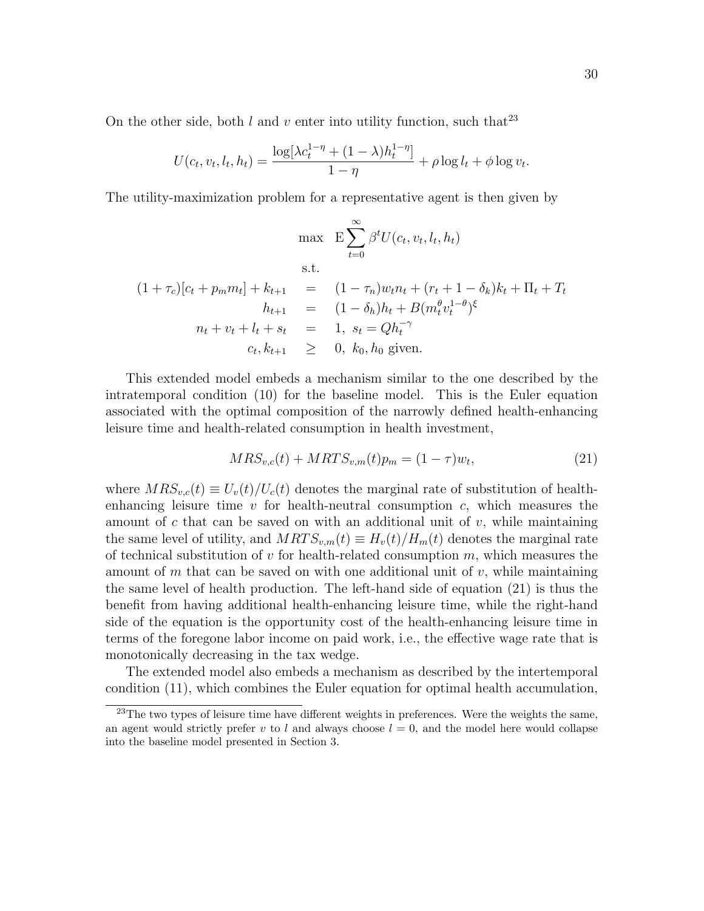On the other side, both  $l$  and  $v$  enter into utility function, such that<sup>23</sup>

$$
U(c_t, v_t, l_t, h_t) = \frac{\log[\lambda c_t^{1-\eta} + (1-\lambda)h_t^{1-\eta}]}{1-\eta} + \rho \log l_t + \phi \log v_t.
$$

The utility-maximization problem for a representative agent is then given by

$$
\max \quad E \sum_{t=0}^{\infty} \beta^t U(c_t, v_t, l_t, h_t)
$$
  
s.t.  

$$
(1 + \tau_c)[c_t + p_m m_t] + k_{t+1} = (1 - \tau_n)w_t n_t + (r_t + 1 - \delta_k)k_t + \Pi_t + T_t
$$
  

$$
h_{t+1} = (1 - \delta_h)h_t + B(m_t^{\theta} v_t^{1-\theta})^{\xi}
$$
  

$$
n_t + v_t + l_t + s_t = 1, s_t = Qh_t^{-\gamma}
$$
  

$$
c_t, k_{t+1} \geq 0, k_0, h_0 \text{ given.}
$$

This extended model embeds a mechanism similar to the one described by the intratemporal condition (10) for the baseline model. This is the Euler equation associated with the optimal composition of the narrowly defined health-enhancing leisure time and health-related consumption in health investment,

$$
MRS_{v,c}(t) + MRTS_{v,m}(t)p_m = (1 - \tau)w_t,
$$
\n(21)

where  $MRS_{v,c}(t) \equiv U_v(t)/U_c(t)$  denotes the marginal rate of substitution of healthenhancing leisure time  $v$  for health-neutral consumption  $c$ , which measures the amount of c that can be saved on with an additional unit of  $v$ , while maintaining the same level of utility, and  $MRTS_{v,m}(t) \equiv H_v(t)/H_m(t)$  denotes the marginal rate of technical substitution of  $v$  for health-related consumption  $m$ , which measures the amount of m that can be saved on with one additional unit of  $v$ , while maintaining the same level of health production. The left-hand side of equation (21) is thus the benefit from having additional health-enhancing leisure time, while the right-hand side of the equation is the opportunity cost of the health-enhancing leisure time in terms of the foregone labor income on paid work, i.e., the effective wage rate that is monotonically decreasing in the tax wedge.

The extended model also embeds a mechanism as described by the intertemporal condition (11), which combines the Euler equation for optimal health accumulation,

<sup>&</sup>lt;sup>23</sup>The two types of leisure time have different weights in preferences. Were the weights the same, an agent would strictly prefer v to l and always choose  $l = 0$ , and the model here would collapse into the baseline model presented in Section 3.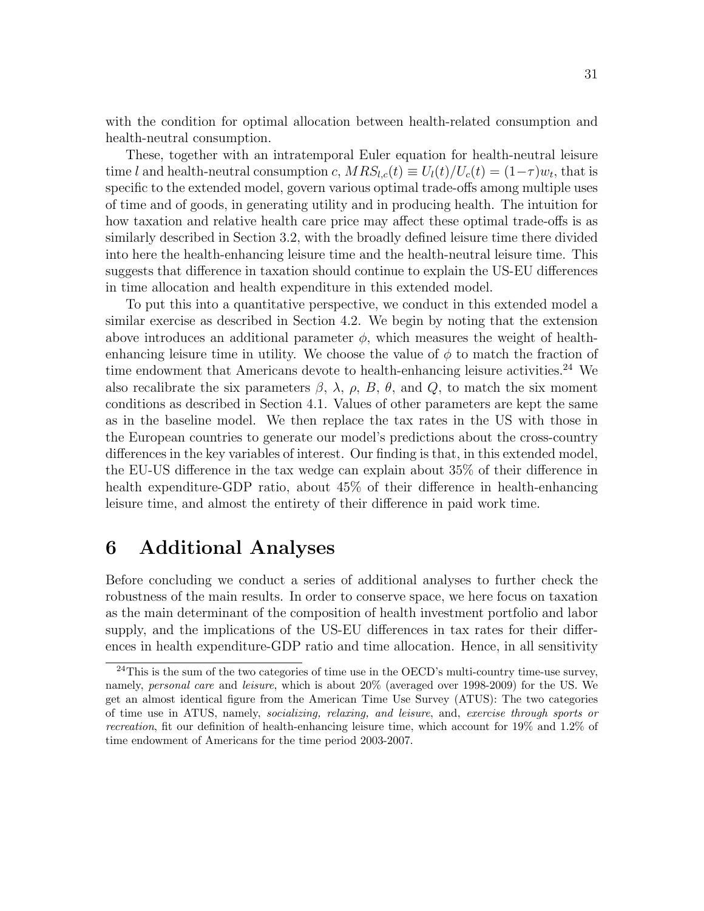with the condition for optimal allocation between health-related consumption and health-neutral consumption.

These, together with an intratemporal Euler equation for health-neutral leisure time l and health-neutral consumption c,  $MRS_{l,c}(t) \equiv U_l(t)/U_c(t) = (1-\tau)w_t$ , that is specific to the extended model, govern various optimal trade-offs among multiple uses of time and of goods, in generating utility and in producing health. The intuition for how taxation and relative health care price may affect these optimal trade-offs is as similarly described in Section 3.2, with the broadly defined leisure time there divided into here the health-enhancing leisure time and the health-neutral leisure time. This suggests that difference in taxation should continue to explain the US-EU differences in time allocation and health expenditure in this extended model.

To put this into a quantitative perspective, we conduct in this extended model a similar exercise as described in Section 4.2. We begin by noting that the extension above introduces an additional parameter  $\phi$ , which measures the weight of healthenhancing leisure time in utility. We choose the value of  $\phi$  to match the fraction of time endowment that Americans devote to health-enhancing leisure activities.<sup>24</sup> We also recalibrate the six parameters  $\beta$ ,  $\lambda$ ,  $\rho$ ,  $B$ ,  $\theta$ , and  $Q$ , to match the six moment conditions as described in Section 4.1. Values of other parameters are kept the same as in the baseline model. We then replace the tax rates in the US with those in the European countries to generate our model's predictions about the cross-country differences in the key variables of interest. Our finding is that, in this extended model, the EU-US difference in the tax wedge can explain about 35% of their difference in health expenditure-GDP ratio, about 45% of their difference in health-enhancing leisure time, and almost the entirety of their difference in paid work time.

### 6 Additional Analyses

Before concluding we conduct a series of additional analyses to further check the robustness of the main results. In order to conserve space, we here focus on taxation as the main determinant of the composition of health investment portfolio and labor supply, and the implications of the US-EU differences in tax rates for their differences in health expenditure-GDP ratio and time allocation. Hence, in all sensitivity

 $24$ This is the sum of the two categories of time use in the OECD's multi-country time-use survey, namely, personal care and leisure, which is about 20% (averaged over 1998-2009) for the US. We get an almost identical figure from the American Time Use Survey (ATUS): The two categories of time use in ATUS, namely, socializing, relaxing, and leisure, and, exercise through sports or recreation, fit our definition of health-enhancing leisure time, which account for 19% and 1.2% of time endowment of Americans for the time period 2003-2007.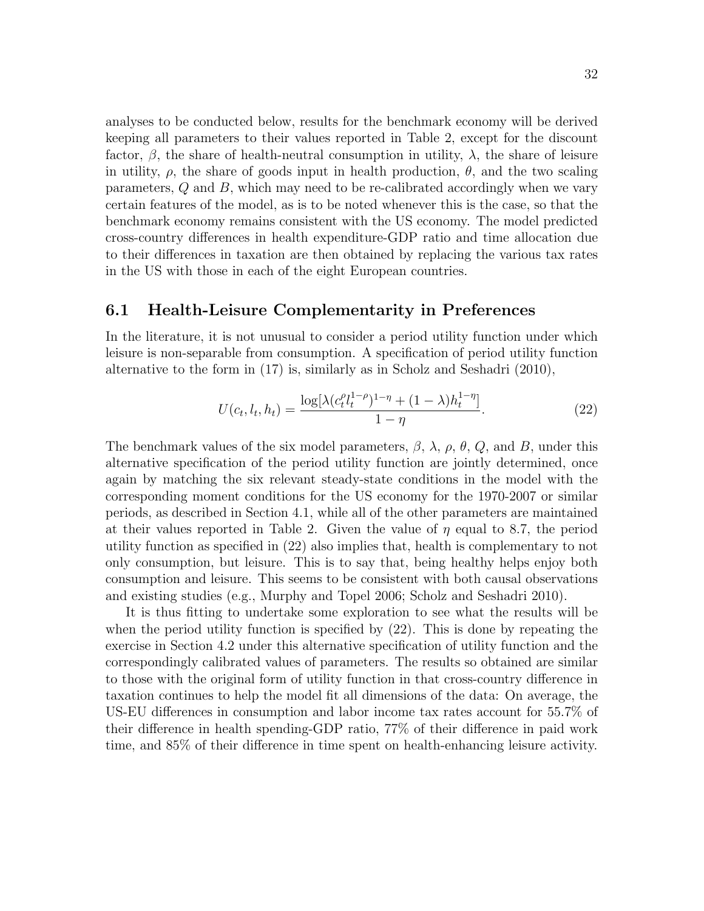analyses to be conducted below, results for the benchmark economy will be derived keeping all parameters to their values reported in Table 2, except for the discount factor,  $\beta$ , the share of health-neutral consumption in utility,  $\lambda$ , the share of leisure in utility,  $\rho$ , the share of goods input in health production,  $\theta$ , and the two scaling parameters, Q and B, which may need to be re-calibrated accordingly when we vary certain features of the model, as is to be noted whenever this is the case, so that the benchmark economy remains consistent with the US economy. The model predicted cross-country differences in health expenditure-GDP ratio and time allocation due to their differences in taxation are then obtained by replacing the various tax rates in the US with those in each of the eight European countries.

#### 6.1 Health-Leisure Complementarity in Preferences

In the literature, it is not unusual to consider a period utility function under which leisure is non-separable from consumption. A specification of period utility function alternative to the form in (17) is, similarly as in Scholz and Seshadri (2010),

$$
U(c_t, l_t, h_t) = \frac{\log[\lambda(c_t^{\rho}l_t^{1-\rho})^{1-\eta} + (1-\lambda)h_t^{1-\eta}]}{1-\eta}.
$$
\n(22)

The benchmark values of the six model parameters,  $\beta$ ,  $\lambda$ ,  $\rho$ ,  $\theta$ ,  $Q$ , and B, under this alternative specification of the period utility function are jointly determined, once again by matching the six relevant steady-state conditions in the model with the corresponding moment conditions for the US economy for the 1970-2007 or similar periods, as described in Section 4.1, while all of the other parameters are maintained at their values reported in Table 2. Given the value of  $\eta$  equal to 8.7, the period utility function as specified in (22) also implies that, health is complementary to not only consumption, but leisure. This is to say that, being healthy helps enjoy both consumption and leisure. This seems to be consistent with both causal observations and existing studies (e.g., Murphy and Topel 2006; Scholz and Seshadri 2010).

It is thus fitting to undertake some exploration to see what the results will be when the period utility function is specified by (22). This is done by repeating the exercise in Section 4.2 under this alternative specification of utility function and the correspondingly calibrated values of parameters. The results so obtained are similar to those with the original form of utility function in that cross-country difference in taxation continues to help the model fit all dimensions of the data: On average, the US-EU differences in consumption and labor income tax rates account for 55.7% of their difference in health spending-GDP ratio, 77% of their difference in paid work time, and 85% of their difference in time spent on health-enhancing leisure activity.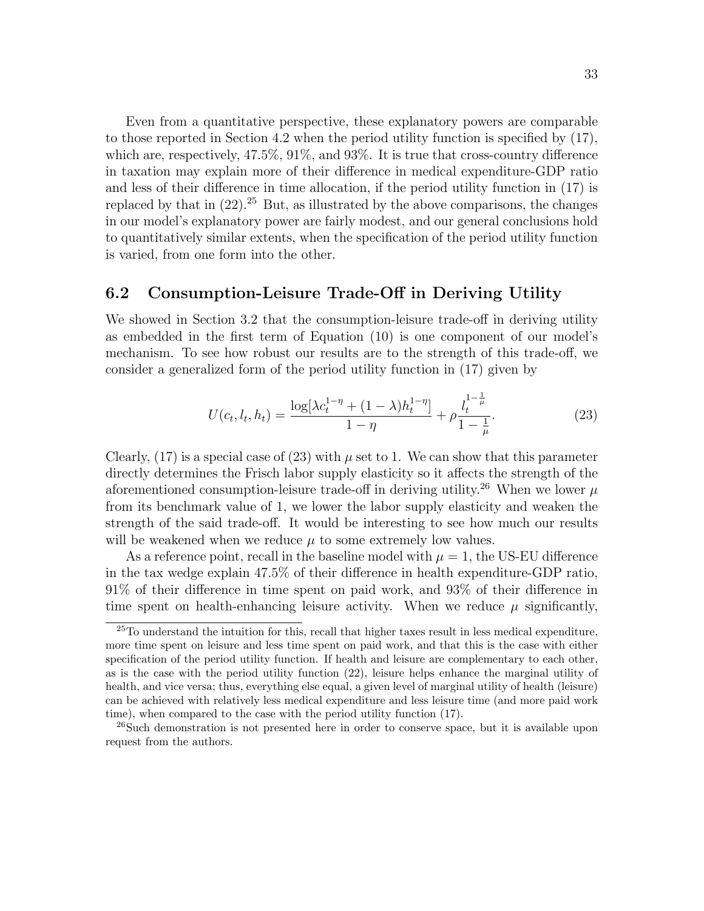Even from a quantitative perspective, these explanatory powers are comparable to those reported in Section 4.2 when the period utility function is specified by (17), which are, respectively, 47.5%, 91%, and 93%. It is true that cross-country difference in taxation may explain more of their difference in medical expenditure-GDP ratio and less of their difference in time allocation, if the period utility function in (17) is replaced by that in  $(22)$ .<sup>25</sup> But, as illustrated by the above comparisons, the changes in our model's explanatory power are fairly modest, and our general conclusions hold to quantitatively similar extents, when the specification of the period utility function is varied, from one form into the other.

#### 6.2 Consumption-Leisure Trade-Off in Deriving Utility

We showed in Section 3.2 that the consumption-leisure trade-off in deriving utility as embedded in the first term of Equation (10) is one component of our model's mechanism. To see how robust our results are to the strength of this trade-off, we consider a generalized form of the period utility function in (17) given by

$$
U(c_t, l_t, h_t) = \frac{\log[\lambda c_t^{1-\eta} + (1-\lambda)h_t^{1-\eta}]}{1-\eta} + \rho \frac{l_t^{1-\frac{1}{\mu}}}{1-\frac{1}{\mu}}.
$$
\n(23)

Clearly,  $(17)$  is a special case of  $(23)$  with  $\mu$  set to 1. We can show that this parameter directly determines the Frisch labor supply elasticity so it affects the strength of the aforementioned consumption-leisure trade-off in deriving utility.<sup>26</sup> When we lower  $\mu$ from its benchmark value of 1, we lower the labor supply elasticity and weaken the strength of the said trade-off. It would be interesting to see how much our results will be weakened when we reduce  $\mu$  to some extremely low values.

As a reference point, recall in the baseline model with  $\mu = 1$ , the US-EU difference in the tax wedge explain 47.5% of their difference in health expenditure-GDP ratio, 91% of their difference in time spent on paid work, and 93% of their difference in time spent on health-enhancing leisure activity. When we reduce  $\mu$  significantly,

 $^{25}$ To understand the intuition for this, recall that higher taxes result in less medical expenditure, more time spent on leisure and less time spent on paid work, and that this is the case with either specification of the period utility function. If health and leisure are complementary to each other, as is the case with the period utility function (22), leisure helps enhance the marginal utility of health, and vice versa; thus, everything else equal, a given level of marginal utility of health (leisure) can be achieved with relatively less medical expenditure and less leisure time (and more paid work time), when compared to the case with the period utility function (17).

<sup>26</sup>Such demonstration is not presented here in order to conserve space, but it is available upon request from the authors.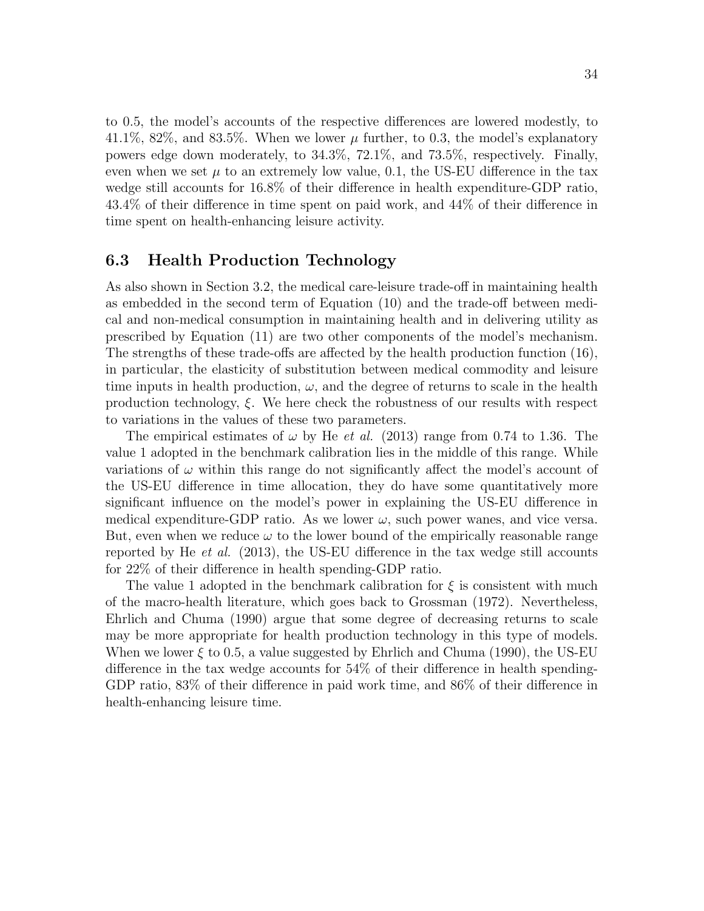to 0.5, the model's accounts of the respective differences are lowered modestly, to 41.1%, 82%, and 83.5%. When we lower  $\mu$  further, to 0.3, the model's explanatory powers edge down moderately, to 34.3%, 72.1%, and 73.5%, respectively. Finally, even when we set  $\mu$  to an extremely low value, 0.1, the US-EU difference in the tax wedge still accounts for 16.8% of their difference in health expenditure-GDP ratio, 43.4% of their difference in time spent on paid work, and 44% of their difference in time spent on health-enhancing leisure activity.

#### 6.3 Health Production Technology

As also shown in Section 3.2, the medical care-leisure trade-off in maintaining health as embedded in the second term of Equation (10) and the trade-off between medical and non-medical consumption in maintaining health and in delivering utility as prescribed by Equation (11) are two other components of the model's mechanism. The strengths of these trade-offs are affected by the health production function (16), in particular, the elasticity of substitution between medical commodity and leisure time inputs in health production,  $\omega$ , and the degree of returns to scale in the health production technology, ξ. We here check the robustness of our results with respect to variations in the values of these two parameters.

The empirical estimates of  $\omega$  by He *et al.* (2013) range from 0.74 to 1.36. The value 1 adopted in the benchmark calibration lies in the middle of this range. While variations of  $\omega$  within this range do not significantly affect the model's account of the US-EU difference in time allocation, they do have some quantitatively more significant influence on the model's power in explaining the US-EU difference in medical expenditure-GDP ratio. As we lower  $\omega$ , such power wanes, and vice versa. But, even when we reduce  $\omega$  to the lower bound of the empirically reasonable range reported by He *et al.* (2013), the US-EU difference in the tax wedge still accounts for 22% of their difference in health spending-GDP ratio.

The value 1 adopted in the benchmark calibration for  $\xi$  is consistent with much of the macro-health literature, which goes back to Grossman (1972). Nevertheless, Ehrlich and Chuma (1990) argue that some degree of decreasing returns to scale may be more appropriate for health production technology in this type of models. When we lower  $\xi$  to 0.5, a value suggested by Ehrlich and Chuma (1990), the US-EU difference in the tax wedge accounts for 54% of their difference in health spending-GDP ratio, 83% of their difference in paid work time, and 86% of their difference in health-enhancing leisure time.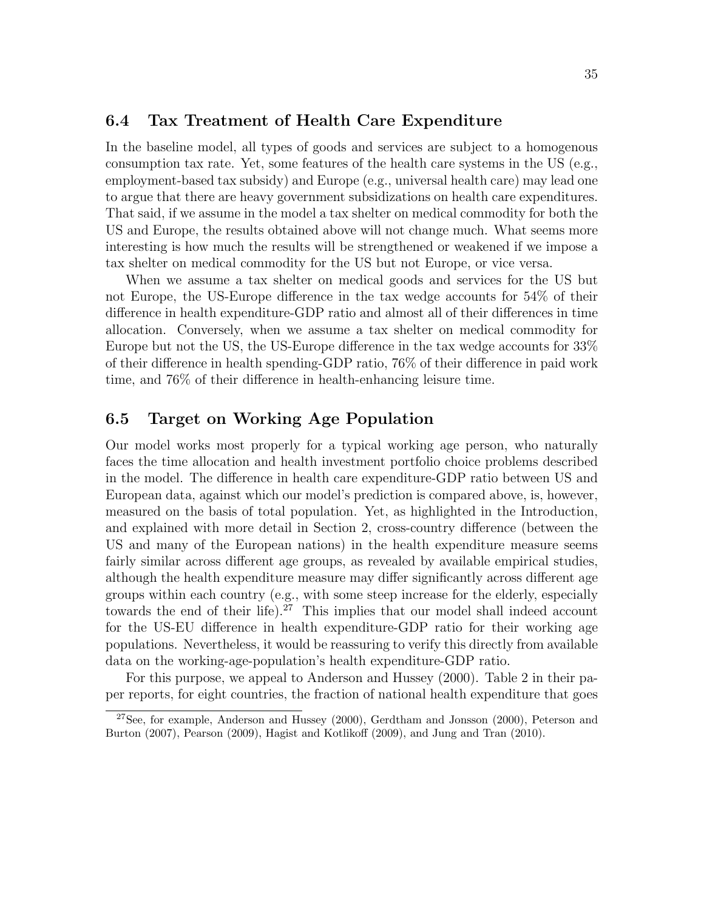#### 6.4 Tax Treatment of Health Care Expenditure

In the baseline model, all types of goods and services are subject to a homogenous consumption tax rate. Yet, some features of the health care systems in the US (e.g., employment-based tax subsidy) and Europe (e.g., universal health care) may lead one to argue that there are heavy government subsidizations on health care expenditures. That said, if we assume in the model a tax shelter on medical commodity for both the US and Europe, the results obtained above will not change much. What seems more interesting is how much the results will be strengthened or weakened if we impose a tax shelter on medical commodity for the US but not Europe, or vice versa.

When we assume a tax shelter on medical goods and services for the US but not Europe, the US-Europe difference in the tax wedge accounts for 54% of their difference in health expenditure-GDP ratio and almost all of their differences in time allocation. Conversely, when we assume a tax shelter on medical commodity for Europe but not the US, the US-Europe difference in the tax wedge accounts for 33% of their difference in health spending-GDP ratio, 76% of their difference in paid work time, and 76% of their difference in health-enhancing leisure time.

#### 6.5 Target on Working Age Population

Our model works most properly for a typical working age person, who naturally faces the time allocation and health investment portfolio choice problems described in the model. The difference in health care expenditure-GDP ratio between US and European data, against which our model's prediction is compared above, is, however, measured on the basis of total population. Yet, as highlighted in the Introduction, and explained with more detail in Section 2, cross-country difference (between the US and many of the European nations) in the health expenditure measure seems fairly similar across different age groups, as revealed by available empirical studies, although the health expenditure measure may differ significantly across different age groups within each country (e.g., with some steep increase for the elderly, especially towards the end of their life). <sup>27</sup> This implies that our model shall indeed account for the US-EU difference in health expenditure-GDP ratio for their working age populations. Nevertheless, it would be reassuring to verify this directly from available data on the working-age-population's health expenditure-GDP ratio.

For this purpose, we appeal to Anderson and Hussey (2000). Table 2 in their paper reports, for eight countries, the fraction of national health expenditure that goes

<sup>&</sup>lt;sup>27</sup>See, for example, Anderson and Hussey (2000), Gerdtham and Jonsson (2000), Peterson and Burton (2007), Pearson (2009), Hagist and Kotlikoff (2009), and Jung and Tran (2010).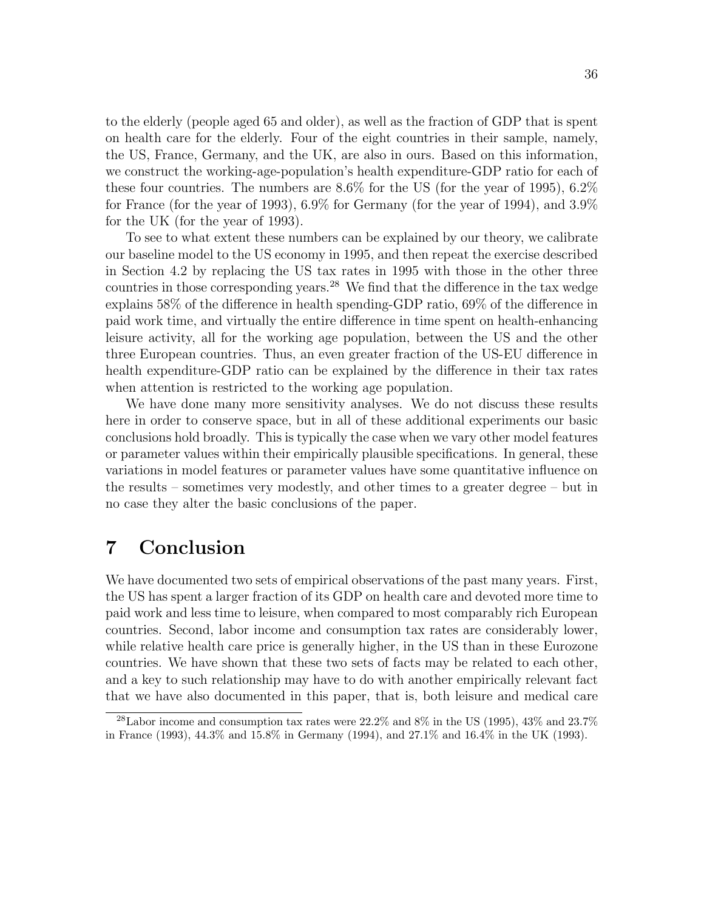to the elderly (people aged 65 and older), as well as the fraction of GDP that is spent on health care for the elderly. Four of the eight countries in their sample, namely, the US, France, Germany, and the UK, are also in ours. Based on this information, we construct the working-age-population's health expenditure-GDP ratio for each of these four countries. The numbers are 8.6% for the US (for the year of 1995), 6.2% for France (for the year of 1993), 6.9% for Germany (for the year of 1994), and 3.9% for the UK (for the year of 1993).

To see to what extent these numbers can be explained by our theory, we calibrate our baseline model to the US economy in 1995, and then repeat the exercise described in Section 4.2 by replacing the US tax rates in 1995 with those in the other three countries in those corresponding years. <sup>28</sup> We find that the difference in the tax wedge explains 58% of the difference in health spending-GDP ratio, 69% of the difference in paid work time, and virtually the entire difference in time spent on health-enhancing leisure activity, all for the working age population, between the US and the other three European countries. Thus, an even greater fraction of the US-EU difference in health expenditure-GDP ratio can be explained by the difference in their tax rates when attention is restricted to the working age population.

We have done many more sensitivity analyses. We do not discuss these results here in order to conserve space, but in all of these additional experiments our basic conclusions hold broadly. This is typically the case when we vary other model features or parameter values within their empirically plausible specifications. In general, these variations in model features or parameter values have some quantitative influence on the results – sometimes very modestly, and other times to a greater degree – but in no case they alter the basic conclusions of the paper.

### 7 Conclusion

We have documented two sets of empirical observations of the past many years. First, the US has spent a larger fraction of its GDP on health care and devoted more time to paid work and less time to leisure, when compared to most comparably rich European countries. Second, labor income and consumption tax rates are considerably lower, while relative health care price is generally higher, in the US than in these Eurozone countries. We have shown that these two sets of facts may be related to each other, and a key to such relationship may have to do with another empirically relevant fact that we have also documented in this paper, that is, both leisure and medical care

<sup>&</sup>lt;sup>28</sup>Labor income and consumption tax rates were  $22.2\%$  and  $8\%$  in the US (1995),  $43\%$  and  $23.7\%$ in France (1993), 44.3% and 15.8% in Germany (1994), and 27.1% and 16.4% in the UK (1993).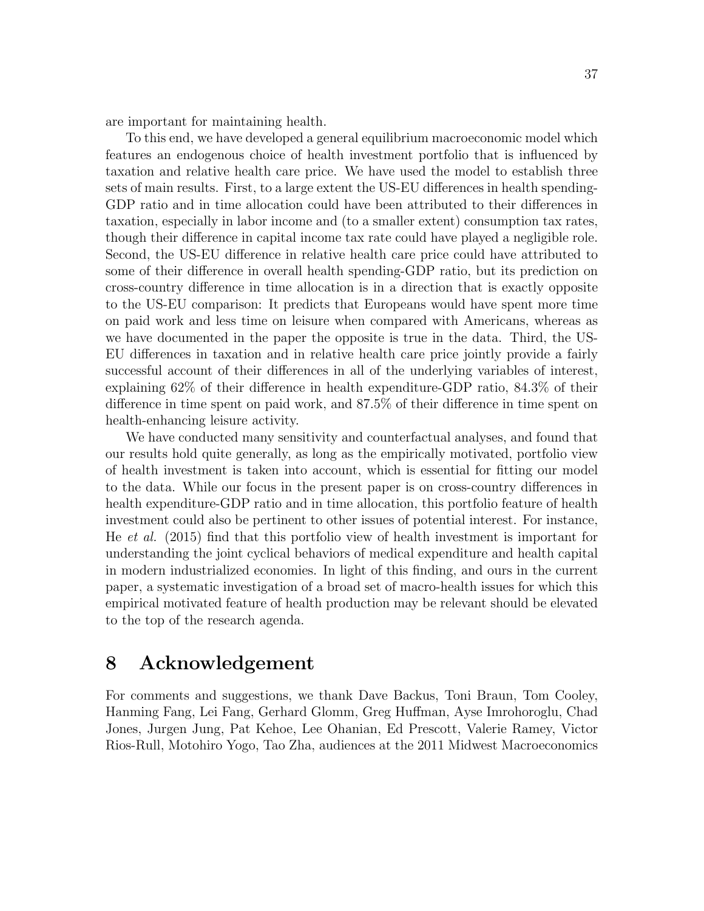are important for maintaining health.

To this end, we have developed a general equilibrium macroeconomic model which features an endogenous choice of health investment portfolio that is influenced by taxation and relative health care price. We have used the model to establish three sets of main results. First, to a large extent the US-EU differences in health spending-GDP ratio and in time allocation could have been attributed to their differences in taxation, especially in labor income and (to a smaller extent) consumption tax rates, though their difference in capital income tax rate could have played a negligible role. Second, the US-EU difference in relative health care price could have attributed to some of their difference in overall health spending-GDP ratio, but its prediction on cross-country difference in time allocation is in a direction that is exactly opposite to the US-EU comparison: It predicts that Europeans would have spent more time on paid work and less time on leisure when compared with Americans, whereas as we have documented in the paper the opposite is true in the data. Third, the US-EU differences in taxation and in relative health care price jointly provide a fairly successful account of their differences in all of the underlying variables of interest, explaining 62% of their difference in health expenditure-GDP ratio, 84.3% of their difference in time spent on paid work, and 87.5% of their difference in time spent on health-enhancing leisure activity.

We have conducted many sensitivity and counterfactual analyses, and found that our results hold quite generally, as long as the empirically motivated, portfolio view of health investment is taken into account, which is essential for fitting our model to the data. While our focus in the present paper is on cross-country differences in health expenditure-GDP ratio and in time allocation, this portfolio feature of health investment could also be pertinent to other issues of potential interest. For instance, He et al. (2015) find that this portfolio view of health investment is important for understanding the joint cyclical behaviors of medical expenditure and health capital in modern industrialized economies. In light of this finding, and ours in the current paper, a systematic investigation of a broad set of macro-health issues for which this empirical motivated feature of health production may be relevant should be elevated to the top of the research agenda.

### 8 Acknowledgement

For comments and suggestions, we thank Dave Backus, Toni Braun, Tom Cooley, Hanming Fang, Lei Fang, Gerhard Glomm, Greg Huffman, Ayse Imrohoroglu, Chad Jones, Jurgen Jung, Pat Kehoe, Lee Ohanian, Ed Prescott, Valerie Ramey, Victor Rios-Rull, Motohiro Yogo, Tao Zha, audiences at the 2011 Midwest Macroeconomics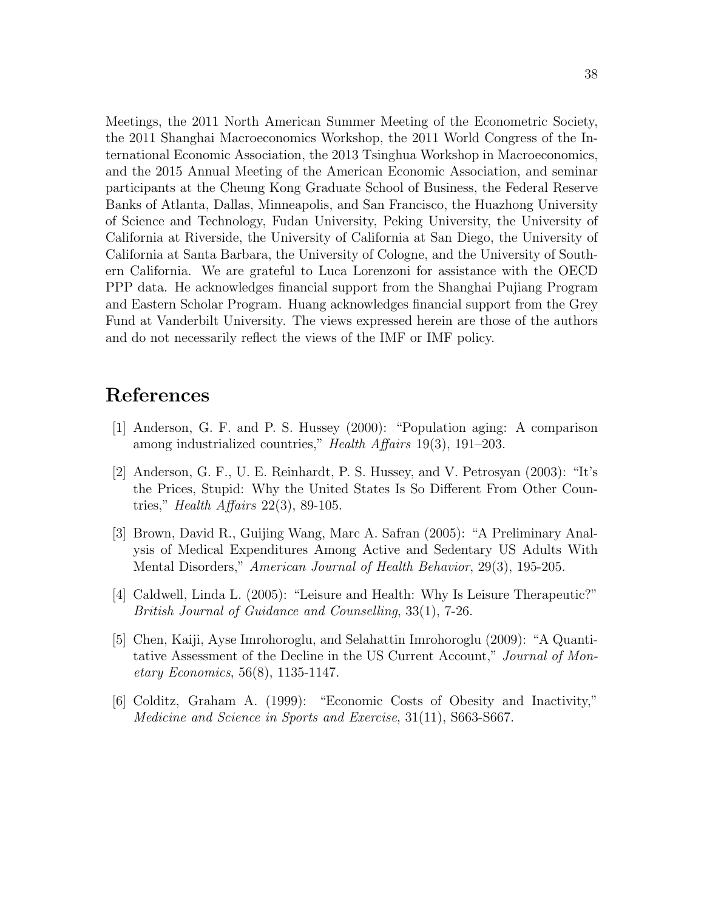Meetings, the 2011 North American Summer Meeting of the Econometric Society, the 2011 Shanghai Macroeconomics Workshop, the 2011 World Congress of the International Economic Association, the 2013 Tsinghua Workshop in Macroeconomics, and the 2015 Annual Meeting of the American Economic Association, and seminar participants at the Cheung Kong Graduate School of Business, the Federal Reserve Banks of Atlanta, Dallas, Minneapolis, and San Francisco, the Huazhong University of Science and Technology, Fudan University, Peking University, the University of California at Riverside, the University of California at San Diego, the University of California at Santa Barbara, the University of Cologne, and the University of Southern California. We are grateful to Luca Lorenzoni for assistance with the OECD PPP data. He acknowledges financial support from the Shanghai Pujiang Program and Eastern Scholar Program. Huang acknowledges financial support from the Grey Fund at Vanderbilt University. The views expressed herein are those of the authors and do not necessarily reflect the views of the IMF or IMF policy.

## References

- [1] Anderson, G. F. and P. S. Hussey (2000): "Population aging: A comparison among industrialized countries," *Health Affairs* 19(3), 191–203.
- [2] Anderson, G. F., U. E. Reinhardt, P. S. Hussey, and V. Petrosyan (2003): "It's the Prices, Stupid: Why the United States Is So Different From Other Countries," *Health Affairs* 22(3), 89-105.
- [3] Brown, David R., Guijing Wang, Marc A. Safran (2005): "A Preliminary Analysis of Medical Expenditures Among Active and Sedentary US Adults With Mental Disorders," American Journal of Health Behavior, 29(3), 195-205.
- [4] Caldwell, Linda L. (2005): "Leisure and Health: Why Is Leisure Therapeutic?" British Journal of Guidance and Counselling, 33(1), 7-26.
- [5] Chen, Kaiji, Ayse Imrohoroglu, and Selahattin Imrohoroglu (2009): "A Quantitative Assessment of the Decline in the US Current Account," Journal of Monetary Economics, 56(8), 1135-1147.
- [6] Colditz, Graham A. (1999): "Economic Costs of Obesity and Inactivity," Medicine and Science in Sports and Exercise, 31(11), S663-S667.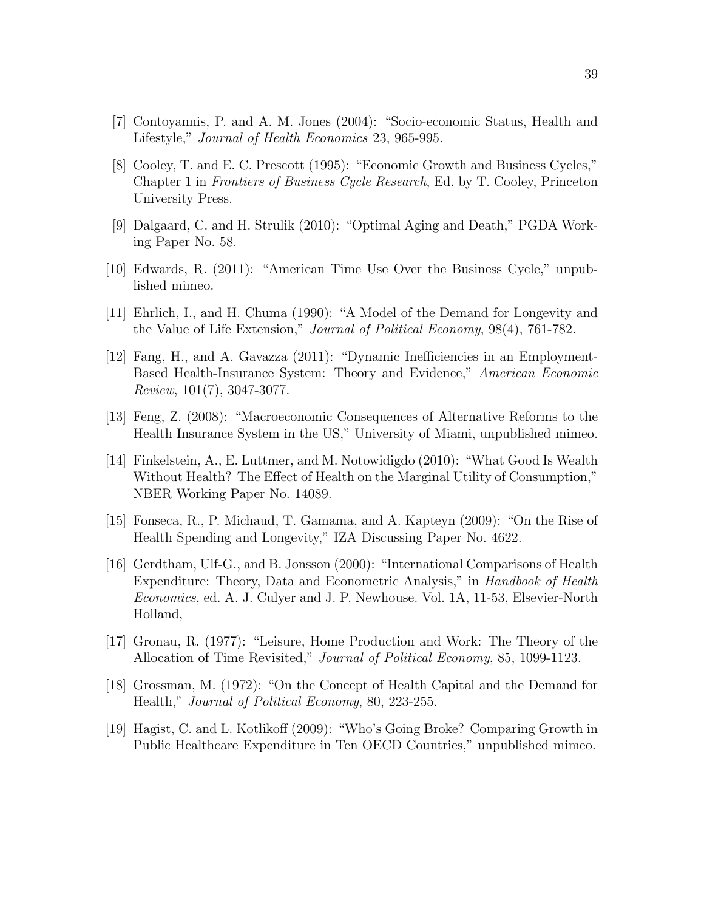- [7] Contoyannis, P. and A. M. Jones (2004): "Socio-economic Status, Health and Lifestyle," Journal of Health Economics 23, 965-995.
- [8] Cooley, T. and E. C. Prescott (1995): "Economic Growth and Business Cycles," Chapter 1 in Frontiers of Business Cycle Research, Ed. by T. Cooley, Princeton University Press.
- [9] Dalgaard, C. and H. Strulik (2010): "Optimal Aging and Death," PGDA Working Paper No. 58.
- [10] Edwards, R. (2011): "American Time Use Over the Business Cycle," unpublished mimeo.
- [11] Ehrlich, I., and H. Chuma (1990): "A Model of the Demand for Longevity and the Value of Life Extension," Journal of Political Economy, 98(4), 761-782.
- [12] Fang, H., and A. Gavazza (2011): "Dynamic Inefficiencies in an Employment-Based Health-Insurance System: Theory and Evidence," American Economic Review, 101(7), 3047-3077.
- [13] Feng, Z. (2008): "Macroeconomic Consequences of Alternative Reforms to the Health Insurance System in the US," University of Miami, unpublished mimeo.
- [14] Finkelstein, A., E. Luttmer, and M. Notowidigdo (2010): "What Good Is Wealth Without Health? The Effect of Health on the Marginal Utility of Consumption," NBER Working Paper No. 14089.
- [15] Fonseca, R., P. Michaud, T. Gamama, and A. Kapteyn (2009): "On the Rise of Health Spending and Longevity," IZA Discussing Paper No. 4622.
- [16] Gerdtham, Ulf-G., and B. Jonsson (2000): "International Comparisons of Health Expenditure: Theory, Data and Econometric Analysis," in *Handbook of Health* Economics, ed. A. J. Culyer and J. P. Newhouse. Vol. 1A, 11-53, Elsevier-North Holland,
- [17] Gronau, R. (1977): "Leisure, Home Production and Work: The Theory of the Allocation of Time Revisited," Journal of Political Economy, 85, 1099-1123.
- [18] Grossman, M. (1972): "On the Concept of Health Capital and the Demand for Health," Journal of Political Economy, 80, 223-255.
- [19] Hagist, C. and L. Kotlikoff (2009): "Who's Going Broke? Comparing Growth in Public Healthcare Expenditure in Ten OECD Countries," unpublished mimeo.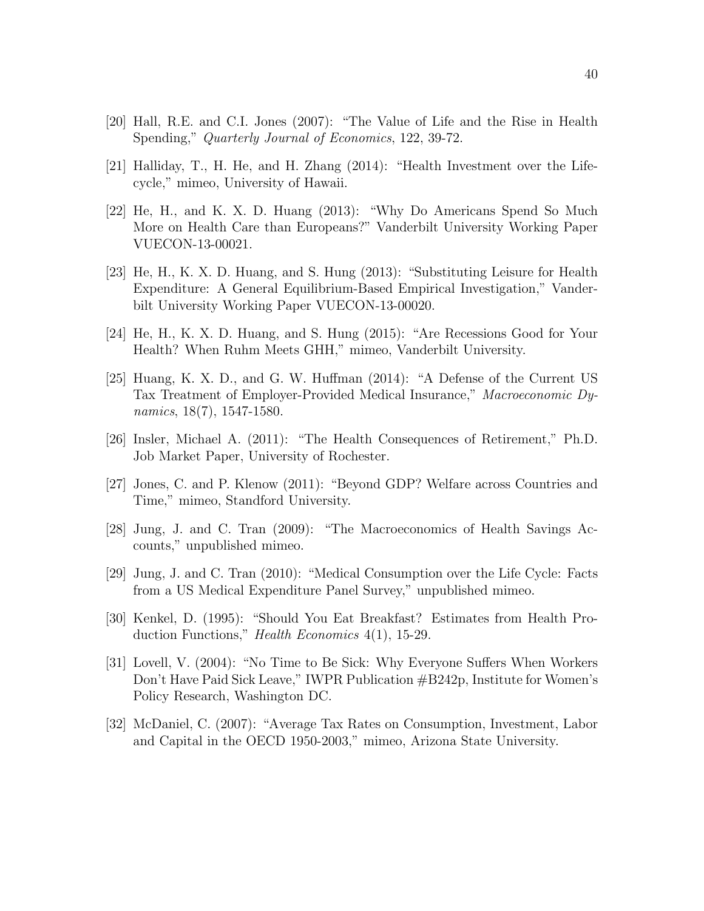- [20] Hall, R.E. and C.I. Jones (2007): "The Value of Life and the Rise in Health Spending," Quarterly Journal of Economics, 122, 39-72.
- [21] Halliday, T., H. He, and H. Zhang (2014): "Health Investment over the Lifecycle," mimeo, University of Hawaii.
- [22] He, H., and K. X. D. Huang (2013): "Why Do Americans Spend So Much More on Health Care than Europeans?" Vanderbilt University Working Paper VUECON-13-00021.
- [23] He, H., K. X. D. Huang, and S. Hung (2013): "Substituting Leisure for Health Expenditure: A General Equilibrium-Based Empirical Investigation," Vanderbilt University Working Paper VUECON-13-00020.
- [24] He, H., K. X. D. Huang, and S. Hung (2015): "Are Recessions Good for Your Health? When Ruhm Meets GHH," mimeo, Vanderbilt University.
- [25] Huang, K. X. D., and G. W. Huffman (2014): "A Defense of the Current US Tax Treatment of Employer-Provided Medical Insurance," Macroeconomic Dynamics,  $18(7)$ ,  $1547-1580$ .
- [26] Insler, Michael A. (2011): "The Health Consequences of Retirement," Ph.D. Job Market Paper, University of Rochester.
- [27] Jones, C. and P. Klenow (2011): "Beyond GDP? Welfare across Countries and Time," mimeo, Standford University.
- [28] Jung, J. and C. Tran (2009): "The Macroeconomics of Health Savings Accounts," unpublished mimeo.
- [29] Jung, J. and C. Tran (2010): "Medical Consumption over the Life Cycle: Facts from a US Medical Expenditure Panel Survey," unpublished mimeo.
- [30] Kenkel, D. (1995): "Should You Eat Breakfast? Estimates from Health Production Functions," Health Economics 4(1), 15-29.
- [31] Lovell, V. (2004): "No Time to Be Sick: Why Everyone Suffers When Workers Don't Have Paid Sick Leave," IWPR Publication #B242p, Institute for Women's Policy Research, Washington DC.
- [32] McDaniel, C. (2007): "Average Tax Rates on Consumption, Investment, Labor and Capital in the OECD 1950-2003," mimeo, Arizona State University.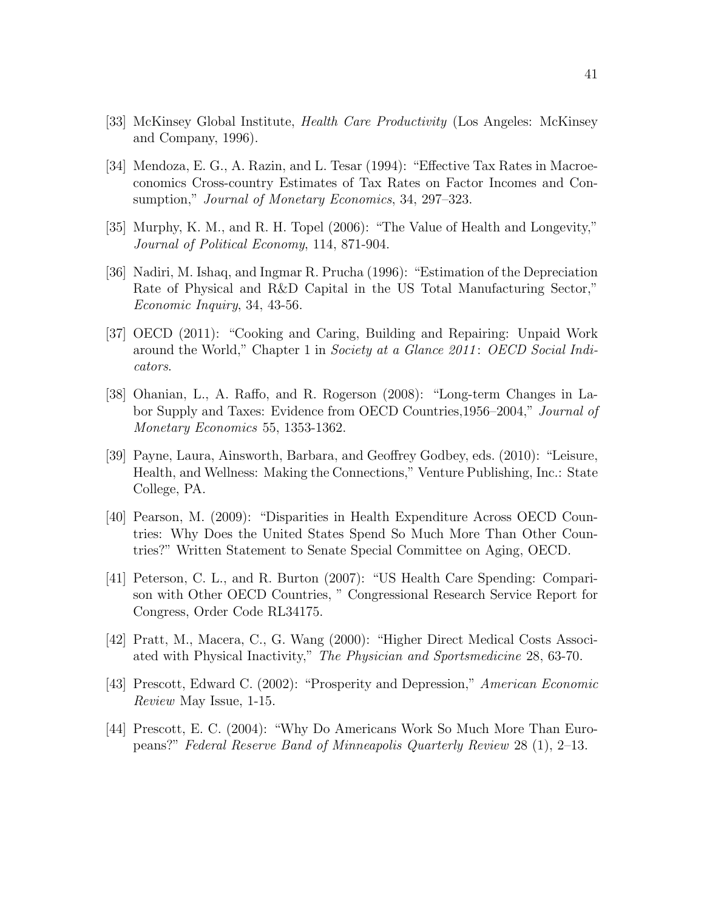- [33] McKinsey Global Institute, Health Care Productivity (Los Angeles: McKinsey and Company, 1996).
- [34] Mendoza, E. G., A. Razin, and L. Tesar (1994): "Effective Tax Rates in Macroeconomics Cross-country Estimates of Tax Rates on Factor Incomes and Consumption," *Journal of Monetary Economics*, 34, 297–323.
- [35] Murphy, K. M., and R. H. Topel (2006): "The Value of Health and Longevity," Journal of Political Economy, 114, 871-904.
- [36] Nadiri, M. Ishaq, and Ingmar R. Prucha (1996): "Estimation of the Depreciation Rate of Physical and R&D Capital in the US Total Manufacturing Sector," Economic Inquiry, 34, 43-56.
- [37] OECD (2011): "Cooking and Caring, Building and Repairing: Unpaid Work around the World," Chapter 1 in Society at a Glance 2011: OECD Social Indicators.
- [38] Ohanian, L., A. Raffo, and R. Rogerson (2008): "Long-term Changes in Labor Supply and Taxes: Evidence from OECD Countries,1956–2004," Journal of Monetary Economics 55, 1353-1362.
- [39] Payne, Laura, Ainsworth, Barbara, and Geoffrey Godbey, eds. (2010): "Leisure, Health, and Wellness: Making the Connections," Venture Publishing, Inc.: State College, PA.
- [40] Pearson, M. (2009): "Disparities in Health Expenditure Across OECD Countries: Why Does the United States Spend So Much More Than Other Countries?" Written Statement to Senate Special Committee on Aging, OECD.
- [41] Peterson, C. L., and R. Burton (2007): "US Health Care Spending: Comparison with Other OECD Countries, " Congressional Research Service Report for Congress, Order Code RL34175.
- [42] Pratt, M., Macera, C., G. Wang (2000): "Higher Direct Medical Costs Associated with Physical Inactivity," The Physician and Sportsmedicine 28, 63-70.
- [43] Prescott, Edward C. (2002): "Prosperity and Depression," American Economic Review May Issue, 1-15.
- [44] Prescott, E. C. (2004): "Why Do Americans Work So Much More Than Europeans?" Federal Reserve Band of Minneapolis Quarterly Review 28 (1), 2–13.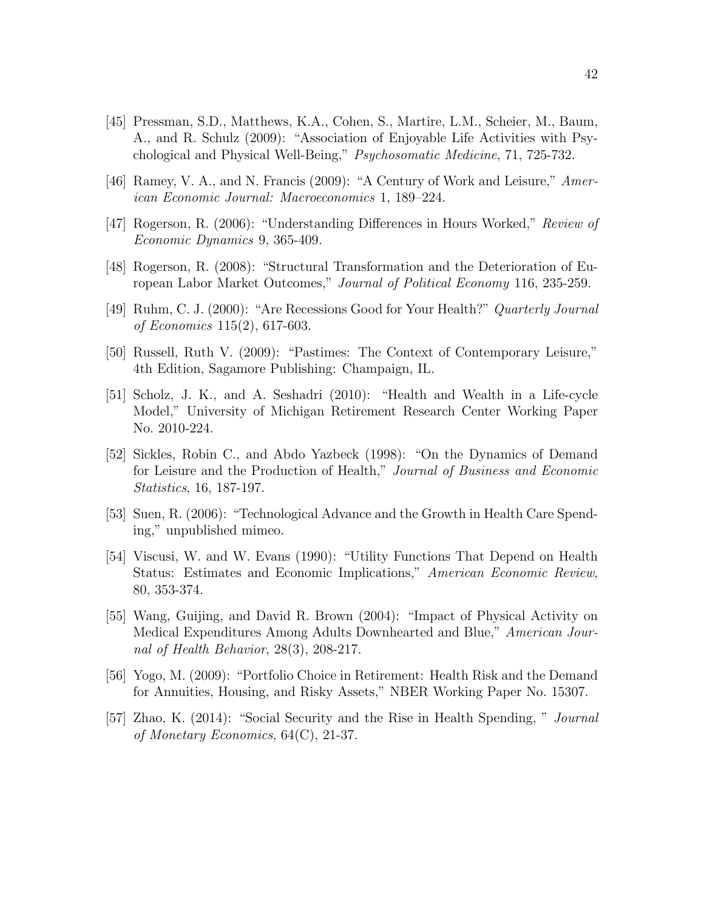- [45] Pressman, S.D., Matthews, K.A., Cohen, S., Martire, L.M., Scheier, M., Baum, A., and R. Schulz (2009): "Association of Enjoyable Life Activities with Psychological and Physical Well-Being," Psychosomatic Medicine, 71, 725-732.
- [46] Ramey, V. A., and N. Francis (2009): "A Century of Work and Leisure," American Economic Journal: Macroeconomics 1, 189–224.
- [47] Rogerson, R. (2006): "Understanding Differences in Hours Worked," Review of Economic Dynamics 9, 365-409.
- [48] Rogerson, R. (2008): "Structural Transformation and the Deterioration of European Labor Market Outcomes," Journal of Political Economy 116, 235-259.
- [49] Ruhm, C. J. (2000): "Are Recessions Good for Your Health?" Quarterly Journal of Economics 115(2), 617-603.
- [50] Russell, Ruth V. (2009): "Pastimes: The Context of Contemporary Leisure," 4th Edition, Sagamore Publishing: Champaign, IL.
- [51] Scholz, J. K., and A. Seshadri (2010): "Health and Wealth in a Life-cycle Model," University of Michigan Retirement Research Center Working Paper No. 2010-224.
- [52] Sickles, Robin C., and Abdo Yazbeck (1998): "On the Dynamics of Demand for Leisure and the Production of Health," Journal of Business and Economic Statistics, 16, 187-197.
- [53] Suen, R. (2006): "Technological Advance and the Growth in Health Care Spending," unpublished mimeo.
- [54] Viscusi, W. and W. Evans (1990): "Utility Functions That Depend on Health Status: Estimates and Economic Implications," American Economic Review, 80, 353-374.
- [55] Wang, Guijing, and David R. Brown (2004): "Impact of Physical Activity on Medical Expenditures Among Adults Downhearted and Blue," American Journal of Health Behavior, 28(3), 208-217.
- [56] Yogo, M. (2009): "Portfolio Choice in Retirement: Health Risk and the Demand for Annuities, Housing, and Risky Assets," NBER Working Paper No. 15307.
- [57] Zhao, K. (2014): "Social Security and the Rise in Health Spending, " Journal of Monetary Economics, 64(C), 21-37.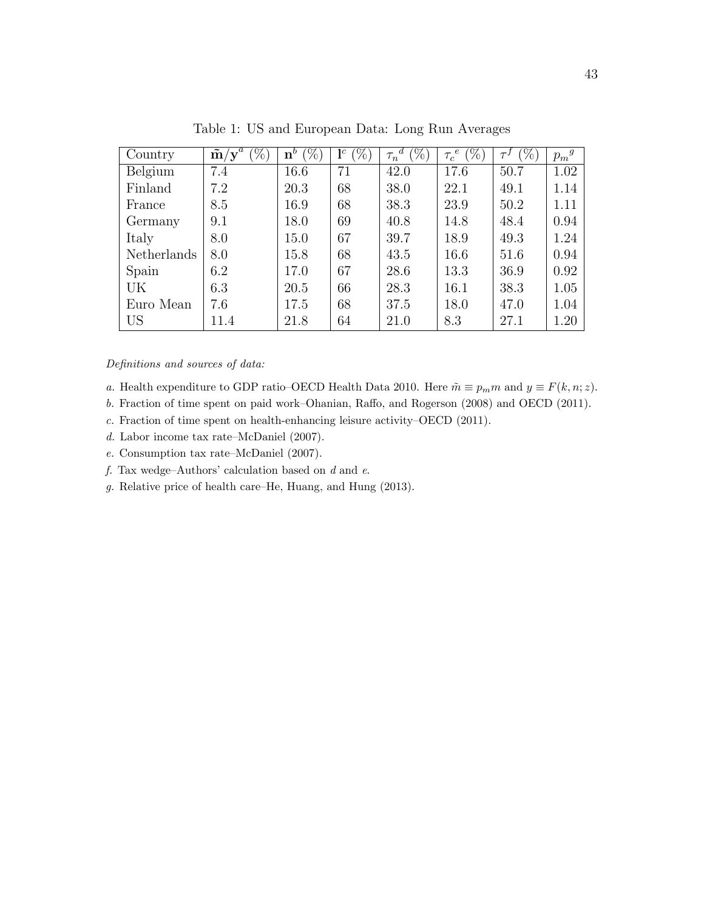| Country     | %<br>$\tilde{\mathbf{m}}/\mathbf{y}^e$ | $(\%)$<br>$\mathbf{n}^b$ | $(\%)$<br>$\mathbf{l}^c$ | $\sqrt[\alpha]{\gamma_0}$<br>$\tau_n$ | $\%$<br>$\epsilon$<br>$\tau_c$ | $(\%)$ | $p_m{}^g$ |
|-------------|----------------------------------------|--------------------------|--------------------------|---------------------------------------|--------------------------------|--------|-----------|
| Belgium     | 7.4                                    | 16.6                     | 71                       | 42.0                                  | 17.6                           | 50.7   | 1.02      |
| Finland     | 7.2                                    | 20.3                     | 68                       | 38.0                                  | 22.1                           | 49.1   | 1.14      |
| France      | 8.5                                    | 16.9                     | 68                       | 38.3                                  | 23.9                           | 50.2   | 1.11      |
| Germany     | 9.1                                    | 18.0                     | 69                       | 40.8                                  | 14.8                           | 48.4   | 0.94      |
| Italy       | 8.0                                    | 15.0                     | 67                       | 39.7                                  | 18.9                           | 49.3   | 1.24      |
| Netherlands | 8.0                                    | 15.8                     | 68                       | 43.5                                  | 16.6                           | 51.6   | 0.94      |
| Spain       | 6.2                                    | 17.0                     | 67                       | 28.6                                  | 13.3                           | 36.9   | 0.92      |
| UK          | 6.3                                    | 20.5                     | 66                       | 28.3                                  | 16.1                           | 38.3   | 1.05      |
| Euro Mean   | 7.6                                    | 17.5                     | 68                       | 37.5                                  | 18.0                           | 47.0   | 1.04      |
| <b>US</b>   | 11.4                                   | 21.8                     | 64                       | 21.0                                  | 8.3                            | 27.1   | 1.20      |

Table 1: US and European Data: Long Run Averages

Definitions and sources of data:

- a. Health expenditure to GDP ratio–OECD Health Data 2010. Here  $\tilde{m} \equiv p_m m$  and  $y \equiv F(k, n; z)$ .
- b. Fraction of time spent on paid work–Ohanian, Raffo, and Rogerson (2008) and OECD (2011).
- c. Fraction of time spent on health-enhancing leisure activity–OECD (2011).
- d. Labor income tax rate–McDaniel (2007).
- e. Consumption tax rate–McDaniel (2007).
- $f.$  Tax wedge–Authors' calculation based on  $d$  and  $e$ .
- g. Relative price of health care–He, Huang, and Hung (2013).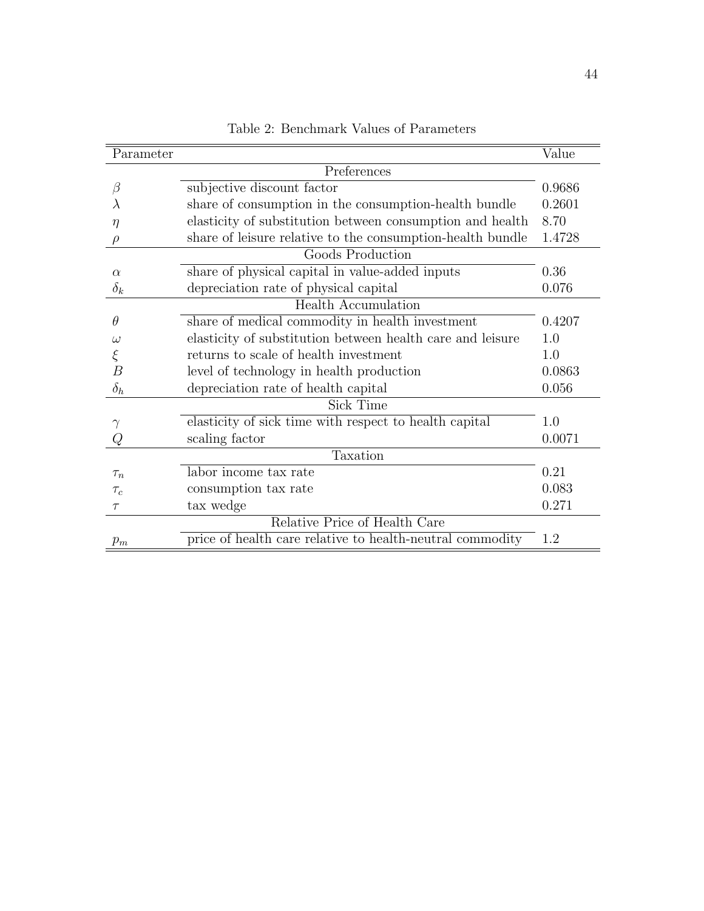| Parameter      |                                                            | Value  |
|----------------|------------------------------------------------------------|--------|
|                | Preferences                                                |        |
| $\beta$        | subjective discount factor                                 | 0.9686 |
|                | share of consumption in the consumption-health bundle      | 0.2601 |
| $\eta$         | elasticity of substitution between consumption and health  | 8.70   |
| $\rho$         | share of leisure relative to the consumption-health bundle | 1.4728 |
|                | Goods Production                                           |        |
| $\alpha$       | share of physical capital in value-added inputs            | 0.36   |
| $\delta_k$     | depreciation rate of physical capital                      | 0.076  |
|                | <b>Health Accumulation</b>                                 |        |
| $\theta$       | share of medical commodity in health investment            | 0.4207 |
| $\omega$       | elasticity of substitution between health care and leisure | 1.0    |
|                | returns to scale of health investment                      | 1.0    |
| $\overline{B}$ | level of technology in health production                   | 0.0863 |
| $\delta_h$     | depreciation rate of health capital                        | 0.056  |
|                | Sick Time                                                  |        |
|                | elasticity of sick time with respect to health capital     | 1.0    |
|                | scaling factor                                             | 0.0071 |
|                | Taxation                                                   |        |
| $\tau_n$       | labor income tax rate                                      | 0.21   |
| $\tau_c$       | consumption tax rate                                       | 0.083  |
| $\tau$         | tax wedge                                                  | 0.271  |
|                | Relative Price of Health Care                              |        |
| $p_m$          | price of health care relative to health-neutral commodity  | 1.2    |

Table 2: Benchmark Values of Parameters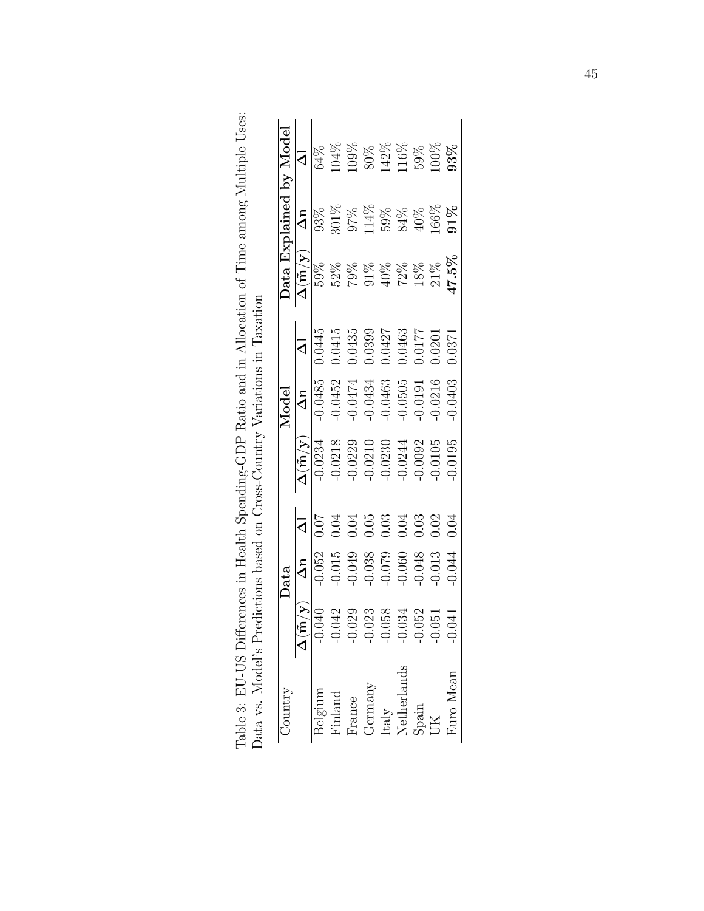| Jata Explained by Model | $\overline{d}$                                     |           |          |        |                 | 64%<br>104%<br>109%<br>50%<br>10%<br>10%<br>10%<br>10%<br>10%<br>10%                                                              |             |       |          |           |
|-------------------------|----------------------------------------------------|-----------|----------|--------|-----------------|-----------------------------------------------------------------------------------------------------------------------------------|-------------|-------|----------|-----------|
|                         | $\Delta n$                                         |           |          |        |                 | 88<br>5018<br>50148888888<br>5015888888                                                                                           |             |       |          | 91%       |
|                         | $\overline{\Delta(\tilde{\mathbf{m}}/\mathbf{y})}$ | 59%       |          |        |                 | 28888888<br>2959225                                                                                                               |             |       |          | $17.5\%$  |
|                         | $\overline{\mathsf{d}}$                            | 1.0445    |          |        |                 | $\begin{array}{l} 0.0415 \\ 0.0435 \\ 0.0399 \\ 0.0427 \\ 0.0463 \\ 0.0177 \\ 0.0101 \\ 0.0177 \\ 0.0201 \\ \end{array}$          |             |       |          |           |
| Model                   | $\Delta n$                                         | $-0.0485$ |          |        |                 | $\begin{array}{c} 0.0452 \\ -0.0474 \\ -0.0434 \\ -0.0434 \\ -0.0505 \\ -0.0191 \\ -0.0216 \\ \end{array}$                        |             |       |          |           |
|                         | $\frac{\Delta(\tilde{\bf n}/y)}{-0.0234}$          |           |          |        |                 | $\begin{array}{c} -0.0218 \\ -0.0229 \\ -0.0210 \\ -0.0230 \\ -0.0230 \\ -0.0244 \\ -0.0092 \\ -0.0002 \\ -0.0105 \\ \end{array}$ |             |       |          | 0.0195    |
|                         | $\overline{\mathsf{}}$                             |           |          | 0.04   | 0.05            | 0.03                                                                                                                              |             | 0.03  | 0.02     | 0.04      |
| Jata                    |                                                    | $-0.052$  | $-0.015$ | 0.049  |                 | $-0.038$<br>$-0.079$<br>$-0.060$<br>$-0.048$                                                                                      |             |       | $-0.013$ | 0.044     |
|                         |                                                    | .040      | .042     | 029    | .023            | 058                                                                                                                               | .034        | .052  | .051     |           |
|                         |                                                    | Belgium   | inland   | France | ${\rm Germany}$ | Italy                                                                                                                             | Netherlands | Spain |          | Euro Mean |

Table 3: EU-US Differences in Health Spending-GDP Ratio and in Allocation of Time among Multiple Uses: Data vs. Model's Predictions based on Cross-Country Variations in Taxation Table 3: EU-US Differences in Health Spending-GDP Ratio and in Allocation of Time among Multiple Uses: Data vs. Model's Predictions based on Cross-Country Variations in Taxation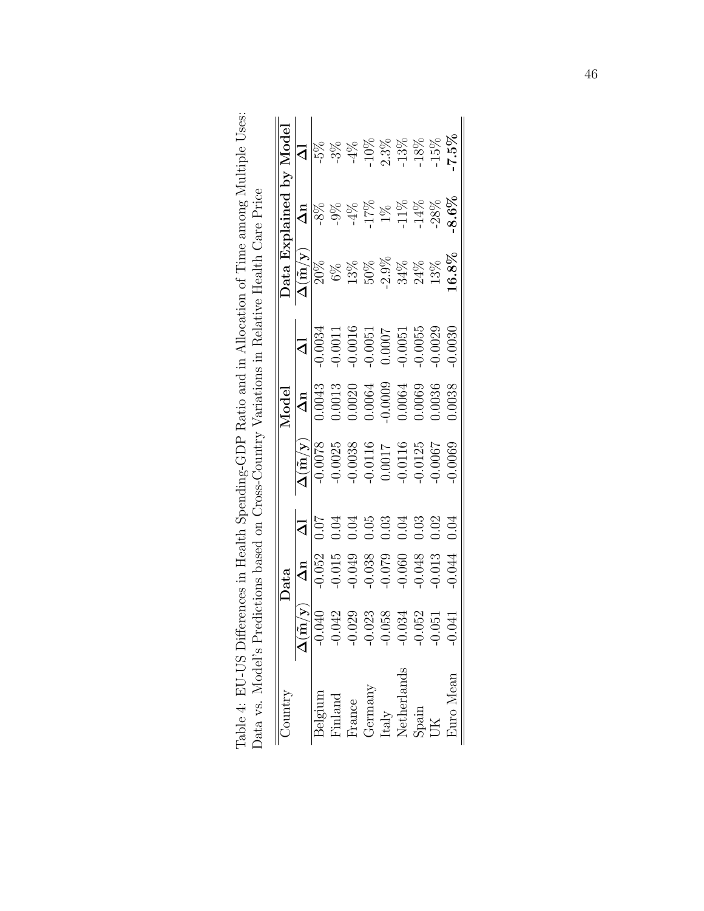| Aniutic          |                                                    | Oata                |                         |                                                         | Model                                                                                             |                               |                                                                              |            | Data Explained by Model |
|------------------|----------------------------------------------------|---------------------|-------------------------|---------------------------------------------------------|---------------------------------------------------------------------------------------------------|-------------------------------|------------------------------------------------------------------------------|------------|-------------------------|
|                  | $\overline{\Delta(\tilde{\mathbf{m}}/\mathbf{y})}$ | $\Delta n$          | $\overline{\mathsf{d}}$ |                                                         | $\frac{\Delta n}{0.0043}$                                                                         | $\overline{\mathsf{S}}$       | $\overline{\Delta(\tilde{\mathbf{m}}/\mathbf{y})}$                           | $\Delta n$ | $\overline{\mathbf{z}}$ |
| Belgium          | 040                                                | $\frac{1}{0.052}$   |                         | $\frac{\Delta(\tilde{\mathbf{n}}/\mathbf{y})}{-0.0078}$ |                                                                                                   | $\frac{0.0034}{$              | $\frac{20\%}{\%}$                                                            | $-8\%$     | 5%                      |
| $\mathrm{mland}$ | 142                                                | 0.015               | 0.04                    | $-0.0025$                                               |                                                                                                   | $-0.0011$                     | $6\%$                                                                        | $-9%$      | $-3\%$                  |
| France           | 99                                                 | 0.049               | ).04                    |                                                         | $\begin{array}{c} 0.0013 \\ 0.0020 \\ 0.0064 \\ 0.0064 \\ 0.0009 \\ 0.0064 \\ 0.0069 \end{array}$ | $-0.0016$                     |                                                                              | $-4\%$     |                         |
| Germany          | 23                                                 |                     | 0.05                    | $-0.0038$<br>$-0.0116$<br>$0.0017$<br>$-0.0116$         |                                                                                                   |                               | $\begin{array}{l} 13\% \\ 50\% \\ 2.9\% \\ 34\% \\ 24\% \\ 13\% \end{array}$ | 17%        | $10\%$                  |
| Italy            | )58                                                | $-0.038$<br>$0.079$ | 0.3                     |                                                         |                                                                                                   | $-0.0051$<br>0.0007<br>0.0051 |                                                                              | $1\%$      | 2.3%                    |
| Netherlands      | )34                                                | 0.060               | 0.04                    |                                                         |                                                                                                   |                               |                                                                              | $-11\%$    | $13\%$                  |
| Spain            | )52                                                | 0.048               | 0.03                    | 0.0125                                                  |                                                                                                   | $-0.0055$                     |                                                                              | $14\%$     | $18\%$                  |
|                  | ら                                                  | 0.013               | 0.02                    | 0.0007                                                  | 0.0036                                                                                            | 0.0029                        |                                                                              | $-28\%$    | $15\%$                  |
| Auro Mean        | Ξ                                                  | 0.044               | 0.04                    | 0.0069                                                  | 0.0038                                                                                            | 0.0030                        | 16.8%                                                                        | $-8.6\%$   | 7.5%                    |

Table 4: EU-US Differences in Health Spending-GDP Ratio and in Allocation of Time among Multiple Uses:<br>Data vs. Model's Predictions based on Cross-Country Variations in Relative Health Care Price Table 4: EU-US Differences in Health Spending-GDP Ratio and in Allocation of Time among Multiple Uses: Data vs. Model's Predictions based on Cross-Country Variations in Relative Health Care Price